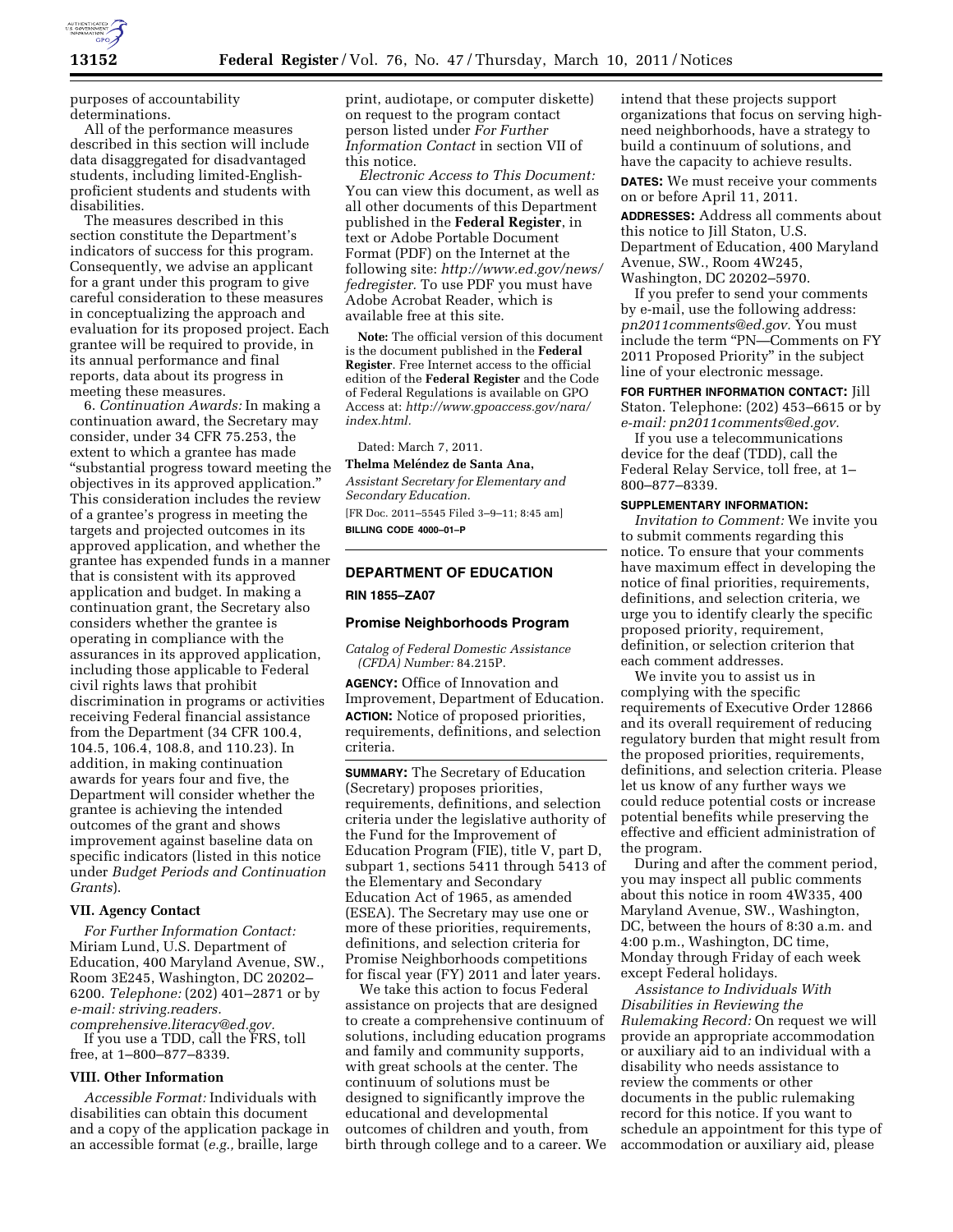

purposes of accountability determinations.

All of the performance measures described in this section will include data disaggregated for disadvantaged students, including limited-Englishproficient students and students with disabilities.

The measures described in this section constitute the Department's indicators of success for this program. Consequently, we advise an applicant for a grant under this program to give careful consideration to these measures in conceptualizing the approach and evaluation for its proposed project. Each grantee will be required to provide, in its annual performance and final reports, data about its progress in meeting these measures.

6. *Continuation Awards:* In making a continuation award, the Secretary may consider, under 34 CFR 75.253, the extent to which a grantee has made ''substantial progress toward meeting the objectives in its approved application.'' This consideration includes the review of a grantee's progress in meeting the targets and projected outcomes in its approved application, and whether the grantee has expended funds in a manner that is consistent with its approved application and budget. In making a continuation grant, the Secretary also considers whether the grantee is operating in compliance with the assurances in its approved application, including those applicable to Federal civil rights laws that prohibit discrimination in programs or activities receiving Federal financial assistance from the Department (34 CFR 100.4, 104.5, 106.4, 108.8, and 110.23). In addition, in making continuation awards for years four and five, the Department will consider whether the grantee is achieving the intended outcomes of the grant and shows improvement against baseline data on specific indicators (listed in this notice under *Budget Periods and Continuation Grants*).

## **VII. Agency Contact**

*For Further Information Contact:*  Miriam Lund, U.S. Department of Education, 400 Maryland Avenue, SW., Room 3E245, Washington, DC 20202– 6200. *Telephone:* (202) 401–2871 or by *e-mail: [striving.readers.](mailto:striving.readers.comprehensive.literacy@ed.gov) [comprehensive.literacy@ed.gov.](mailto:striving.readers.comprehensive.literacy@ed.gov)* 

If you use a TDD, call the FRS, toll free, at 1–800–877–8339.

## **VIII. Other Information**

*Accessible Format:* Individuals with disabilities can obtain this document and a copy of the application package in an accessible format (*e.g.,* braille, large

print, audiotape, or computer diskette) on request to the program contact person listed under *For Further Information Contact* in section VII of this notice.

*Electronic Access to This Document:*  You can view this document, as well as all other documents of this Department published in the **Federal Register**, in text or Adobe Portable Document Format (PDF) on the Internet at the following site: *[http://www.ed.gov/news/](http://www.ed.gov/news/fedregister) [fedregister.](http://www.ed.gov/news/fedregister)* To use PDF you must have Adobe Acrobat Reader, which is available free at this site.

**Note:** The official version of this document is the document published in the **Federal Register**. Free Internet access to the official edition of the **Federal Register** and the Code of Federal Regulations is available on GPO Access at: *[http://www.gpoaccess.gov/nara/](http://www.gpoaccess.gov/nara/index.html) [index.html.](http://www.gpoaccess.gov/nara/index.html)* 

Dated: March 7, 2011.

#### **Thelma Meléndez de Santa Ana,**

*Assistant Secretary for Elementary and Secondary Education.* 

[FR Doc. 2011–5545 Filed 3–9–11; 8:45 am] **BILLING CODE 4000–01–P** 

# **DEPARTMENT OF EDUCATION**

**RIN 1855–ZA07** 

#### **Promise Neighborhoods Program**

*Catalog of Federal Domestic Assistance (CFDA) Number:* 84.215P.

**AGENCY:** Office of Innovation and Improvement, Department of Education. **ACTION:** Notice of proposed priorities, requirements, definitions, and selection criteria.

**SUMMARY:** The Secretary of Education (Secretary) proposes priorities, requirements, definitions, and selection criteria under the legislative authority of the Fund for the Improvement of Education Program (FIE), title V, part D, subpart 1, sections 5411 through 5413 of the Elementary and Secondary Education Act of 1965, as amended (ESEA). The Secretary may use one or more of these priorities, requirements, definitions, and selection criteria for Promise Neighborhoods competitions for fiscal year (FY) 2011 and later years.

We take this action to focus Federal assistance on projects that are designed to create a comprehensive continuum of solutions, including education programs and family and community supports, with great schools at the center. The continuum of solutions must be designed to significantly improve the educational and developmental outcomes of children and youth, from birth through college and to a career. We intend that these projects support organizations that focus on serving highneed neighborhoods, have a strategy to build a continuum of solutions, and have the capacity to achieve results.

**DATES:** We must receive your comments on or before April 11, 2011.

**ADDRESSES:** Address all comments about this notice to Jill Staton, U.S. Department of Education, 400 Maryland Avenue, SW., Room 4W245, Washington, DC 20202–5970.

If you prefer to send your comments by e-mail, use the following address: *[pn2011comments@ed.gov.](mailto:pn2011comments@ed.gov)* You must include the term ''PN—Comments on FY 2011 Proposed Priority'' in the subject line of your electronic message.

**FOR FURTHER INFORMATION CONTACT:** Jill Staton. Telephone: (202) 453–6615 or by *e-mail: [pn2011comments@ed.gov.](mailto:pn2011comments@ed.gov)* 

If you use a telecommunications device for the deaf (TDD), call the Federal Relay Service, toll free, at 1– 800–877–8339.

### **SUPPLEMENTARY INFORMATION:**

*Invitation to Comment:* We invite you to submit comments regarding this notice. To ensure that your comments have maximum effect in developing the notice of final priorities, requirements, definitions, and selection criteria, we urge you to identify clearly the specific proposed priority, requirement, definition, or selection criterion that each comment addresses.

We invite you to assist us in complying with the specific requirements of Executive Order 12866 and its overall requirement of reducing regulatory burden that might result from the proposed priorities, requirements, definitions, and selection criteria. Please let us know of any further ways we could reduce potential costs or increase potential benefits while preserving the effective and efficient administration of the program.

During and after the comment period, you may inspect all public comments about this notice in room 4W335, 400 Maryland Avenue, SW., Washington, DC, between the hours of 8:30 a.m. and 4:00 p.m., Washington, DC time, Monday through Friday of each week except Federal holidays.

*Assistance to Individuals With Disabilities in Reviewing the Rulemaking Record:* On request we will provide an appropriate accommodation or auxiliary aid to an individual with a disability who needs assistance to review the comments or other documents in the public rulemaking record for this notice. If you want to schedule an appointment for this type of accommodation or auxiliary aid, please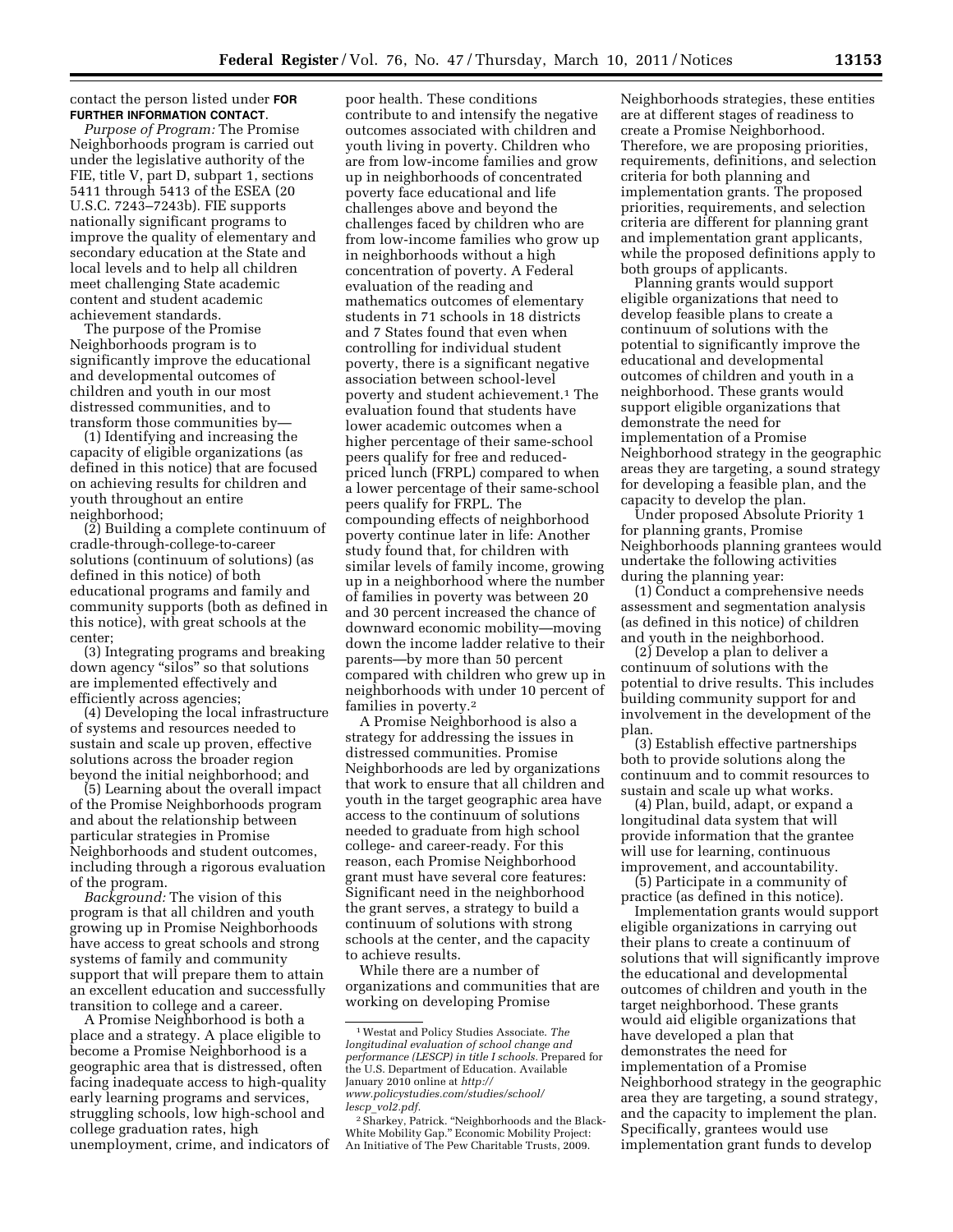### contact the person listed under **FOR FURTHER INFORMATION CONTACT**.

*Purpose of Program:* The Promise Neighborhoods program is carried out under the legislative authority of the FIE, title V, part D, subpart 1, sections 5411 through 5413 of the ESEA (20 U.S.C. 7243–7243b). FIE supports nationally significant programs to improve the quality of elementary and secondary education at the State and local levels and to help all children meet challenging State academic content and student academic achievement standards.

The purpose of the Promise Neighborhoods program is to significantly improve the educational and developmental outcomes of children and youth in our most distressed communities, and to transform those communities by—

(1) Identifying and increasing the capacity of eligible organizations (as defined in this notice) that are focused on achieving results for children and youth throughout an entire neighborhood;

(2) Building a complete continuum of cradle-through-college-to-career solutions (continuum of solutions) (as defined in this notice) of both educational programs and family and community supports (both as defined in this notice), with great schools at the center;

(3) Integrating programs and breaking down agency ''silos'' so that solutions are implemented effectively and efficiently across agencies;

(4) Developing the local infrastructure of systems and resources needed to sustain and scale up proven, effective solutions across the broader region beyond the initial neighborhood; and

(5) Learning about the overall impact of the Promise Neighborhoods program and about the relationship between particular strategies in Promise Neighborhoods and student outcomes, including through a rigorous evaluation of the program.

*Background:* The vision of this program is that all children and youth growing up in Promise Neighborhoods have access to great schools and strong systems of family and community support that will prepare them to attain an excellent education and successfully transition to college and a career.

A Promise Neighborhood is both a place and a strategy. A place eligible to become a Promise Neighborhood is a geographic area that is distressed, often facing inadequate access to high-quality early learning programs and services, struggling schools, low high-school and college graduation rates, high unemployment, crime, and indicators of

poor health. These conditions contribute to and intensify the negative outcomes associated with children and youth living in poverty. Children who are from low-income families and grow up in neighborhoods of concentrated poverty face educational and life challenges above and beyond the challenges faced by children who are from low-income families who grow up in neighborhoods without a high concentration of poverty. A Federal evaluation of the reading and mathematics outcomes of elementary students in 71 schools in 18 districts and 7 States found that even when controlling for individual student poverty, there is a significant negative association between school-level poverty and student achievement.1 The evaluation found that students have lower academic outcomes when a higher percentage of their same-school peers qualify for free and reducedpriced lunch (FRPL) compared to when a lower percentage of their same-school peers qualify for FRPL. The compounding effects of neighborhood poverty continue later in life: Another study found that, for children with similar levels of family income, growing up in a neighborhood where the number of families in poverty was between 20 and 30 percent increased the chance of downward economic mobility—moving down the income ladder relative to their parents—by more than 50 percent compared with children who grew up in neighborhoods with under 10 percent of families in poverty.2

A Promise Neighborhood is also a strategy for addressing the issues in distressed communities. Promise Neighborhoods are led by organizations that work to ensure that all children and youth in the target geographic area have access to the continuum of solutions needed to graduate from high school college- and career-ready. For this reason, each Promise Neighborhood grant must have several core features: Significant need in the neighborhood the grant serves, a strategy to build a continuum of solutions with strong schools at the center, and the capacity to achieve results.

While there are a number of organizations and communities that are working on developing Promise

Neighborhoods strategies, these entities are at different stages of readiness to create a Promise Neighborhood. Therefore, we are proposing priorities, requirements, definitions, and selection criteria for both planning and implementation grants. The proposed priorities, requirements, and selection criteria are different for planning grant and implementation grant applicants, while the proposed definitions apply to both groups of applicants.

Planning grants would support eligible organizations that need to develop feasible plans to create a continuum of solutions with the potential to significantly improve the educational and developmental outcomes of children and youth in a neighborhood. These grants would support eligible organizations that demonstrate the need for implementation of a Promise Neighborhood strategy in the geographic areas they are targeting, a sound strategy for developing a feasible plan, and the capacity to develop the plan.

Under proposed Absolute Priority 1 for planning grants, Promise Neighborhoods planning grantees would undertake the following activities during the planning year:

(1) Conduct a comprehensive needs assessment and segmentation analysis (as defined in this notice) of children and youth in the neighborhood.

(2) Develop a plan to deliver a continuum of solutions with the potential to drive results. This includes building community support for and involvement in the development of the plan.

(3) Establish effective partnerships both to provide solutions along the continuum and to commit resources to sustain and scale up what works.

(4) Plan, build, adapt, or expand a longitudinal data system that will provide information that the grantee will use for learning, continuous improvement, and accountability.

(5) Participate in a community of practice (as defined in this notice).

Implementation grants would support eligible organizations in carrying out their plans to create a continuum of solutions that will significantly improve the educational and developmental outcomes of children and youth in the target neighborhood. These grants would aid eligible organizations that have developed a plan that demonstrates the need for implementation of a Promise Neighborhood strategy in the geographic area they are targeting, a sound strategy, and the capacity to implement the plan. Specifically, grantees would use implementation grant funds to develop

<sup>1</sup>Westat and Policy Studies Associate. *The longitudinal evaluation of school change and performance (LESCP) in title I schools.* Prepared for the U.S. Department of Education. Available January 2010 online at *[http://](http://www.policystudies.com/studies/school/lescp_vol2.pdf)  [www.policystudies.com/studies/school/](http://www.policystudies.com/studies/school/lescp_vol2.pdf)  lescp*\_*[vol2.pdf.](http://www.policystudies.com/studies/school/lescp_vol2.pdf)* 

<sup>&</sup>lt;sup>2</sup> Sharkey, Patrick. "Neighborhoods and the Black-White Mobility Gap.'' Economic Mobility Project: An Initiative of The Pew Charitable Trusts, 2009.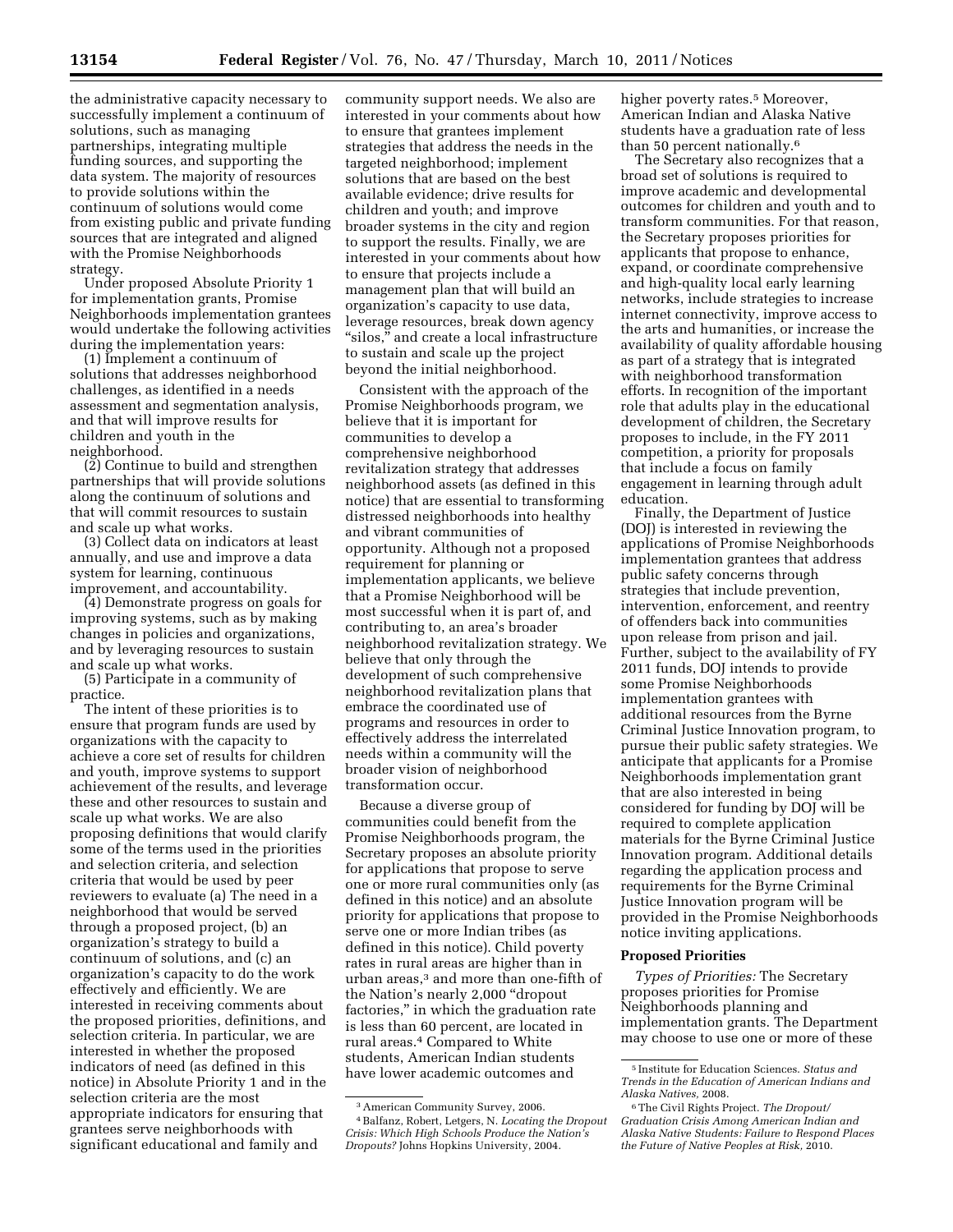the administrative capacity necessary to successfully implement a continuum of solutions, such as managing partnerships, integrating multiple funding sources, and supporting the data system. The majority of resources to provide solutions within the continuum of solutions would come from existing public and private funding sources that are integrated and aligned with the Promise Neighborhoods strategy.

Under proposed Absolute Priority 1 for implementation grants, Promise Neighborhoods implementation grantees would undertake the following activities during the implementation years:

(1) Implement a continuum of solutions that addresses neighborhood challenges, as identified in a needs assessment and segmentation analysis, and that will improve results for children and youth in the neighborhood.

(2) Continue to build and strengthen partnerships that will provide solutions along the continuum of solutions and that will commit resources to sustain and scale up what works.

(3) Collect data on indicators at least annually, and use and improve a data system for learning, continuous improvement, and accountability.

(4) Demonstrate progress on goals for improving systems, such as by making changes in policies and organizations, and by leveraging resources to sustain and scale up what works.

(5) Participate in a community of practice.

The intent of these priorities is to ensure that program funds are used by organizations with the capacity to achieve a core set of results for children and youth, improve systems to support achievement of the results, and leverage these and other resources to sustain and scale up what works. We are also proposing definitions that would clarify some of the terms used in the priorities and selection criteria, and selection criteria that would be used by peer reviewers to evaluate (a) The need in a neighborhood that would be served through a proposed project, (b) an organization's strategy to build a continuum of solutions, and (c) an organization's capacity to do the work effectively and efficiently. We are interested in receiving comments about the proposed priorities, definitions, and selection criteria. In particular, we are interested in whether the proposed indicators of need (as defined in this notice) in Absolute Priority 1 and in the selection criteria are the most appropriate indicators for ensuring that grantees serve neighborhoods with significant educational and family and

community support needs. We also are interested in your comments about how to ensure that grantees implement strategies that address the needs in the targeted neighborhood; implement solutions that are based on the best available evidence; drive results for children and youth; and improve broader systems in the city and region to support the results. Finally, we are interested in your comments about how to ensure that projects include a management plan that will build an organization's capacity to use data, leverage resources, break down agency "silos," and create a local infrastructure to sustain and scale up the project beyond the initial neighborhood.

Consistent with the approach of the Promise Neighborhoods program, we believe that it is important for communities to develop a comprehensive neighborhood revitalization strategy that addresses neighborhood assets (as defined in this notice) that are essential to transforming distressed neighborhoods into healthy and vibrant communities of opportunity. Although not a proposed requirement for planning or implementation applicants, we believe that a Promise Neighborhood will be most successful when it is part of, and contributing to, an area's broader neighborhood revitalization strategy. We believe that only through the development of such comprehensive neighborhood revitalization plans that embrace the coordinated use of programs and resources in order to effectively address the interrelated needs within a community will the broader vision of neighborhood transformation occur.

Because a diverse group of communities could benefit from the Promise Neighborhoods program, the Secretary proposes an absolute priority for applications that propose to serve one or more rural communities only (as defined in this notice) and an absolute priority for applications that propose to serve one or more Indian tribes (as defined in this notice). Child poverty rates in rural areas are higher than in urban areas,3 and more than one-fifth of the Nation's nearly 2,000 ''dropout factories,'' in which the graduation rate is less than 60 percent, are located in rural areas.4 Compared to White students, American Indian students have lower academic outcomes and

higher poverty rates.<sup>5</sup> Moreover, American Indian and Alaska Native students have a graduation rate of less than 50 percent nationally.6

The Secretary also recognizes that a broad set of solutions is required to improve academic and developmental outcomes for children and youth and to transform communities. For that reason, the Secretary proposes priorities for applicants that propose to enhance, expand, or coordinate comprehensive and high-quality local early learning networks, include strategies to increase internet connectivity, improve access to the arts and humanities, or increase the availability of quality affordable housing as part of a strategy that is integrated with neighborhood transformation efforts. In recognition of the important role that adults play in the educational development of children, the Secretary proposes to include, in the FY 2011 competition, a priority for proposals that include a focus on family engagement in learning through adult education.

Finally, the Department of Justice (DOJ) is interested in reviewing the applications of Promise Neighborhoods implementation grantees that address public safety concerns through strategies that include prevention, intervention, enforcement, and reentry of offenders back into communities upon release from prison and jail. Further, subject to the availability of FY 2011 funds, DOJ intends to provide some Promise Neighborhoods implementation grantees with additional resources from the Byrne Criminal Justice Innovation program, to pursue their public safety strategies. We anticipate that applicants for a Promise Neighborhoods implementation grant that are also interested in being considered for funding by DOJ will be required to complete application materials for the Byrne Criminal Justice Innovation program. Additional details regarding the application process and requirements for the Byrne Criminal Justice Innovation program will be provided in the Promise Neighborhoods notice inviting applications.

### **Proposed Priorities**

*Types of Priorities:* The Secretary proposes priorities for Promise Neighborhoods planning and implementation grants. The Department may choose to use one or more of these

<sup>3</sup>American Community Survey, 2006. 4Balfanz, Robert, Letgers, N. *Locating the Dropout Crisis: Which High Schools Produce the Nation's Dropouts?* Johns Hopkins University, 2004.

<sup>5</sup> Institute for Education Sciences. *Status and Trends in the Education of American Indians and Alaska Natives,* 2008.

<sup>6</sup>The Civil Rights Project. *The Dropout/ Graduation Crisis Among American Indian and Alaska Native Students: Failure to Respond Places the Future of Native Peoples at Risk,* 2010.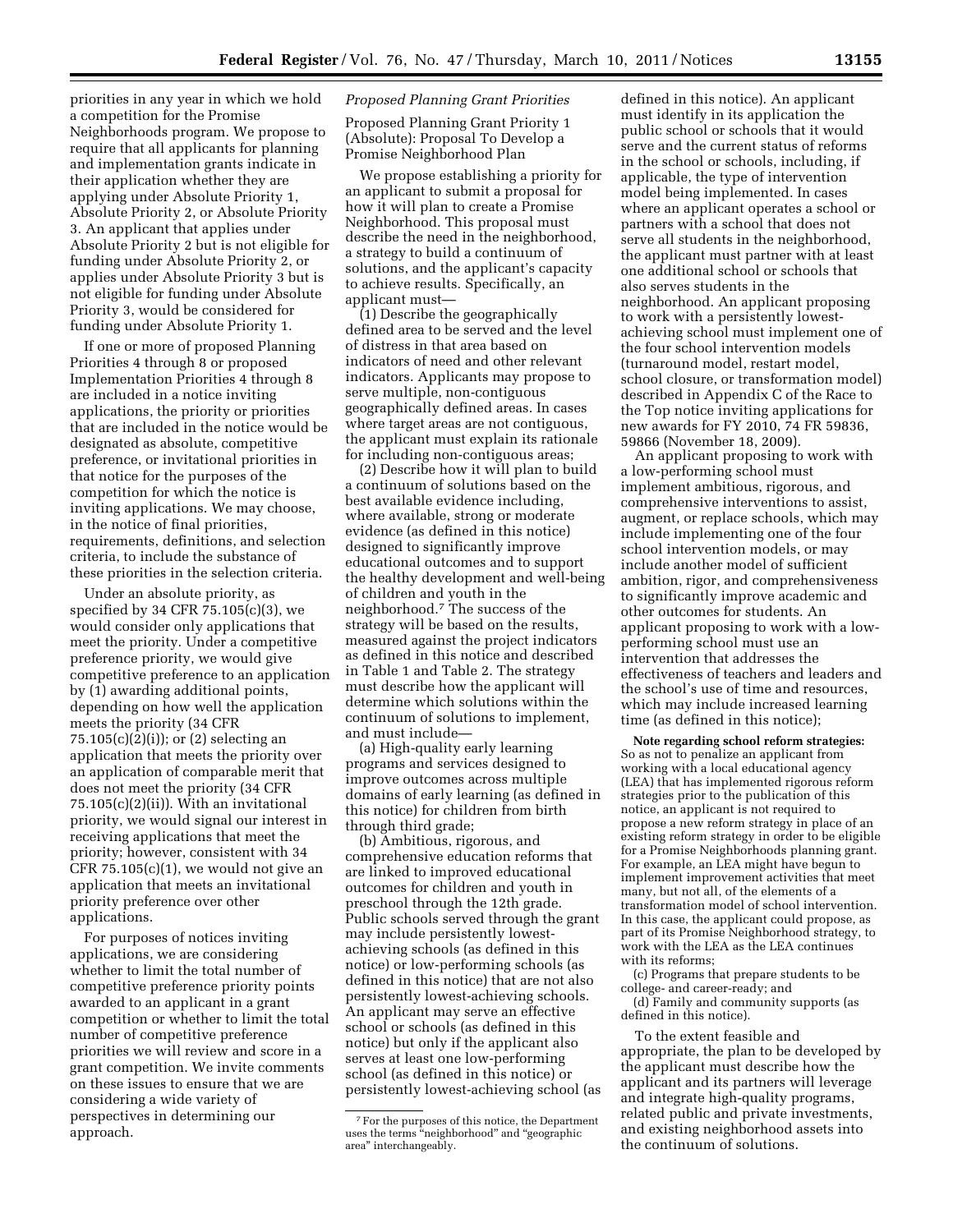priorities in any year in which we hold a competition for the Promise Neighborhoods program. We propose to require that all applicants for planning and implementation grants indicate in their application whether they are applying under Absolute Priority 1, Absolute Priority 2, or Absolute Priority 3. An applicant that applies under Absolute Priority 2 but is not eligible for funding under Absolute Priority 2, or applies under Absolute Priority 3 but is not eligible for funding under Absolute Priority 3, would be considered for funding under Absolute Priority 1.

If one or more of proposed Planning Priorities 4 through 8 or proposed Implementation Priorities 4 through 8 are included in a notice inviting applications, the priority or priorities that are included in the notice would be designated as absolute, competitive preference, or invitational priorities in that notice for the purposes of the competition for which the notice is inviting applications. We may choose, in the notice of final priorities, requirements, definitions, and selection criteria, to include the substance of these priorities in the selection criteria.

Under an absolute priority, as specified by 34 CFR 75.105(c)(3), we would consider only applications that meet the priority. Under a competitive preference priority, we would give competitive preference to an application by (1) awarding additional points, depending on how well the application meets the priority (34 CFR  $75.105(c)(2)(i)$ ; or  $(2)$  selecting an application that meets the priority over an application of comparable merit that does not meet the priority (34 CFR  $75.105(c)(2)(ii)$ ). With an invitational priority, we would signal our interest in receiving applications that meet the priority; however, consistent with 34  $CFR 75.105(c)(1)$ , we would not give an application that meets an invitational priority preference over other applications.

For purposes of notices inviting applications, we are considering whether to limit the total number of competitive preference priority points awarded to an applicant in a grant competition or whether to limit the total number of competitive preference priorities we will review and score in a grant competition. We invite comments on these issues to ensure that we are considering a wide variety of perspectives in determining our approach.

## *Proposed Planning Grant Priorities*

Proposed Planning Grant Priority 1 (Absolute): Proposal To Develop a Promise Neighborhood Plan

We propose establishing a priority for an applicant to submit a proposal for how it will plan to create a Promise Neighborhood. This proposal must describe the need in the neighborhood, a strategy to build a continuum of solutions, and the applicant's capacity to achieve results. Specifically, an applicant must—

(1) Describe the geographically defined area to be served and the level of distress in that area based on indicators of need and other relevant indicators. Applicants may propose to serve multiple, non-contiguous geographically defined areas. In cases where target areas are not contiguous, the applicant must explain its rationale for including non-contiguous areas;

(2) Describe how it will plan to build a continuum of solutions based on the best available evidence including, where available, strong or moderate evidence (as defined in this notice) designed to significantly improve educational outcomes and to support the healthy development and well-being of children and youth in the neighborhood.7 The success of the strategy will be based on the results, measured against the project indicators as defined in this notice and described in Table 1 and Table 2. The strategy must describe how the applicant will determine which solutions within the continuum of solutions to implement, and must include—

(a) High-quality early learning programs and services designed to improve outcomes across multiple domains of early learning (as defined in this notice) for children from birth through third grade;

(b) Ambitious, rigorous, and comprehensive education reforms that are linked to improved educational outcomes for children and youth in preschool through the 12th grade. Public schools served through the grant may include persistently lowestachieving schools (as defined in this notice) or low-performing schools (as defined in this notice) that are not also persistently lowest-achieving schools. An applicant may serve an effective school or schools (as defined in this notice) but only if the applicant also serves at least one low-performing school (as defined in this notice) or persistently lowest-achieving school (as

defined in this notice). An applicant must identify in its application the public school or schools that it would serve and the current status of reforms in the school or schools, including, if applicable, the type of intervention model being implemented. In cases where an applicant operates a school or partners with a school that does not serve all students in the neighborhood, the applicant must partner with at least one additional school or schools that also serves students in the neighborhood. An applicant proposing to work with a persistently lowestachieving school must implement one of the four school intervention models (turnaround model, restart model, school closure, or transformation model) described in Appendix C of the Race to the Top notice inviting applications for new awards for FY 2010, 74 FR 59836, 59866 (November 18, 2009).

An applicant proposing to work with a low-performing school must implement ambitious, rigorous, and comprehensive interventions to assist, augment, or replace schools, which may include implementing one of the four school intervention models, or may include another model of sufficient ambition, rigor, and comprehensiveness to significantly improve academic and other outcomes for students. An applicant proposing to work with a lowperforming school must use an intervention that addresses the effectiveness of teachers and leaders and the school's use of time and resources, which may include increased learning time (as defined in this notice);

**Note regarding school reform strategies:**  So as not to penalize an applicant from working with a local educational agency (LEA) that has implemented rigorous reform strategies prior to the publication of this notice, an applicant is not required to propose a new reform strategy in place of an existing reform strategy in order to be eligible for a Promise Neighborhoods planning grant. For example, an LEA might have begun to implement improvement activities that meet many, but not all, of the elements of a transformation model of school intervention. In this case, the applicant could propose, as part of its Promise Neighborhood strategy, to work with the LEA as the LEA continues with its reforms;

(c) Programs that prepare students to be college- and career-ready; and (d) Family and community supports (as defined in this notice).

To the extent feasible and appropriate, the plan to be developed by the applicant must describe how the applicant and its partners will leverage and integrate high-quality programs, related public and private investments, and existing neighborhood assets into the continuum of solutions.

<sup>7</sup>For the purposes of this notice, the Department uses the terms "neighborhood" and "geographic area'' interchangeably.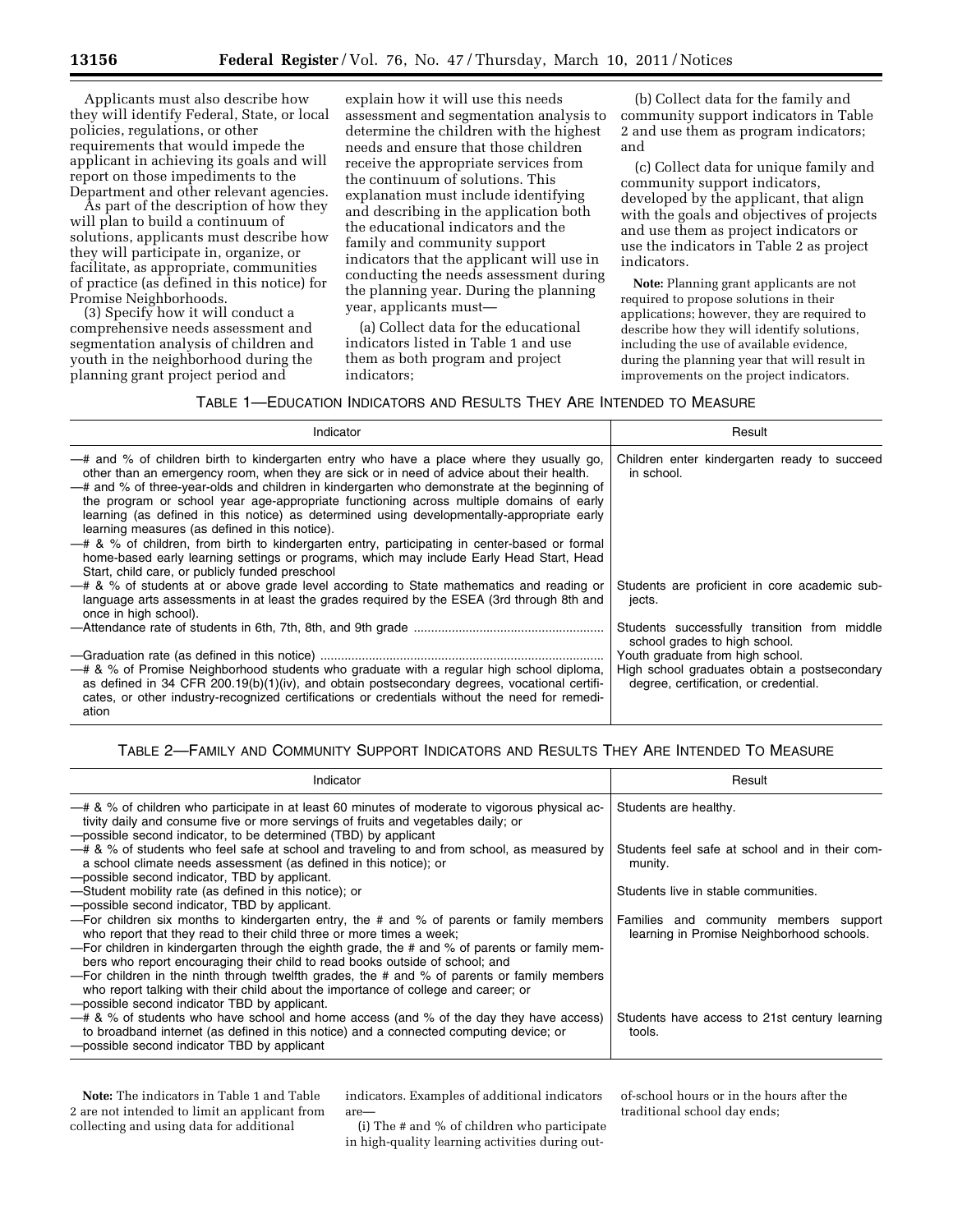Applicants must also describe how they will identify Federal, State, or local policies, regulations, or other requirements that would impede the applicant in achieving its goals and will report on those impediments to the Department and other relevant agencies.

As part of the description of how they will plan to build a continuum of solutions, applicants must describe how they will participate in, organize, or facilitate, as appropriate, communities of practice (as defined in this notice) for Promise Neighborhoods.

(3) Specify how it will conduct a comprehensive needs assessment and segmentation analysis of children and youth in the neighborhood during the planning grant project period and

explain how it will use this needs assessment and segmentation analysis to determine the children with the highest needs and ensure that those children receive the appropriate services from the continuum of solutions. This explanation must include identifying and describing in the application both the educational indicators and the family and community support indicators that the applicant will use in conducting the needs assessment during the planning year. During the planning year, applicants must—

(a) Collect data for the educational indicators listed in Table 1 and use them as both program and project indicators;

(b) Collect data for the family and community support indicators in Table 2 and use them as program indicators; and

(c) Collect data for unique family and community support indicators, developed by the applicant, that align with the goals and objectives of projects and use them as project indicators or use the indicators in Table 2 as project indicators.

**Note:** Planning grant applicants are not required to propose solutions in their applications; however, they are required to describe how they will identify solutions, including the use of available evidence, during the planning year that will result in improvements on the project indicators.

# TABLE 1—EDUCATION INDICATORS AND RESULTS THEY ARE INTENDED TO MEASURE

| Indicator                                                                                                                                                                                                                                                                                                                                                                                                                                                                                                                                                                                                                                                                                                                                                                         | Result                                                                                                                                                                                                     |  |
|-----------------------------------------------------------------------------------------------------------------------------------------------------------------------------------------------------------------------------------------------------------------------------------------------------------------------------------------------------------------------------------------------------------------------------------------------------------------------------------------------------------------------------------------------------------------------------------------------------------------------------------------------------------------------------------------------------------------------------------------------------------------------------------|------------------------------------------------------------------------------------------------------------------------------------------------------------------------------------------------------------|--|
| -# and % of children birth to kindergarten entry who have a place where they usually go,<br>other than an emergency room, when they are sick or in need of advice about their health.<br>-# and % of three-year-olds and children in kindergarten who demonstrate at the beginning of<br>the program or school year age-appropriate functioning across multiple domains of early<br>learning (as defined in this notice) as determined using developmentally-appropriate early<br>learning measures (as defined in this notice).<br>- # & % of children, from birth to kindergarten entry, participating in center-based or formal<br>home-based early learning settings or programs, which may include Early Head Start, Head<br>Start, child care, or publicly funded preschool | Children enter kindergarten ready to succeed<br>in school.                                                                                                                                                 |  |
| - # & % of students at or above grade level according to State mathematics and reading or<br>language arts assessments in at least the grades required by the ESEA (3rd through 8th and<br>once in high school).                                                                                                                                                                                                                                                                                                                                                                                                                                                                                                                                                                  | Students are proficient in core academic sub-<br>jects.                                                                                                                                                    |  |
| -# & % of Promise Neighborhood students who graduate with a regular high school diploma,<br>as defined in 34 CFR $200.19(b)(1)(iv)$ , and obtain postsecondary degrees, vocational certifi-<br>cates, or other industry-recognized certifications or credentials without the need for remedi-<br>ation                                                                                                                                                                                                                                                                                                                                                                                                                                                                            | Students successfully transition from middle<br>school grades to high school.<br>Youth graduate from high school.<br>High school graduates obtain a postsecondary<br>degree, certification, or credential. |  |

# TABLE 2—FAMILY AND COMMUNITY SUPPORT INDICATORS AND RESULTS THEY ARE INTENDED TO MEASURE

| Indicator                                                                                                                                                                                                                                                                                                                                                                                                                                                                                                                                                                                 | Result                                                                              |  |  |  |  |
|-------------------------------------------------------------------------------------------------------------------------------------------------------------------------------------------------------------------------------------------------------------------------------------------------------------------------------------------------------------------------------------------------------------------------------------------------------------------------------------------------------------------------------------------------------------------------------------------|-------------------------------------------------------------------------------------|--|--|--|--|
| - # & % of children who participate in at least 60 minutes of moderate to vigorous physical ac-<br>tivity daily and consume five or more servings of fruits and vegetables daily; or<br>-possible second indicator, to be determined (TBD) by applicant                                                                                                                                                                                                                                                                                                                                   | Students are healthy.                                                               |  |  |  |  |
| -# & % of students who feel safe at school and traveling to and from school, as measured by<br>a school climate needs assessment (as defined in this notice); or<br>-possible second indicator. TBD by applicant.                                                                                                                                                                                                                                                                                                                                                                         | Students feel safe at school and in their com-<br>munity.                           |  |  |  |  |
| -Student mobility rate (as defined in this notice); or<br>-possible second indicator, TBD by applicant.                                                                                                                                                                                                                                                                                                                                                                                                                                                                                   | Students live in stable communities.                                                |  |  |  |  |
| - For children six months to kindergarten entry, the # and % of parents or family members<br>who report that they read to their child three or more times a week;<br>- For children in kindergarten through the eighth grade, the # and % of parents or family mem-<br>bers who report encouraging their child to read books outside of school; and<br>- For children in the ninth through twelfth grades, the # and % of parents or family members<br>who report talking with their child about the importance of college and career; or<br>-possible second indicator TBD by applicant. | Families and community members support<br>learning in Promise Neighborhood schools. |  |  |  |  |
| $-$ # & % of students who have school and home access (and % of the day they have access)<br>to broadband internet (as defined in this notice) and a connected computing device; or<br>-possible second indicator TBD by applicant                                                                                                                                                                                                                                                                                                                                                        | Students have access to 21st century learning<br>tools.                             |  |  |  |  |

**Note:** The indicators in Table 1 and Table 2 are not intended to limit an applicant from collecting and using data for additional

indicators. Examples of additional indicators are—

(i) The # and % of children who participate in high-quality learning activities during outof-school hours or in the hours after the traditional school day ends;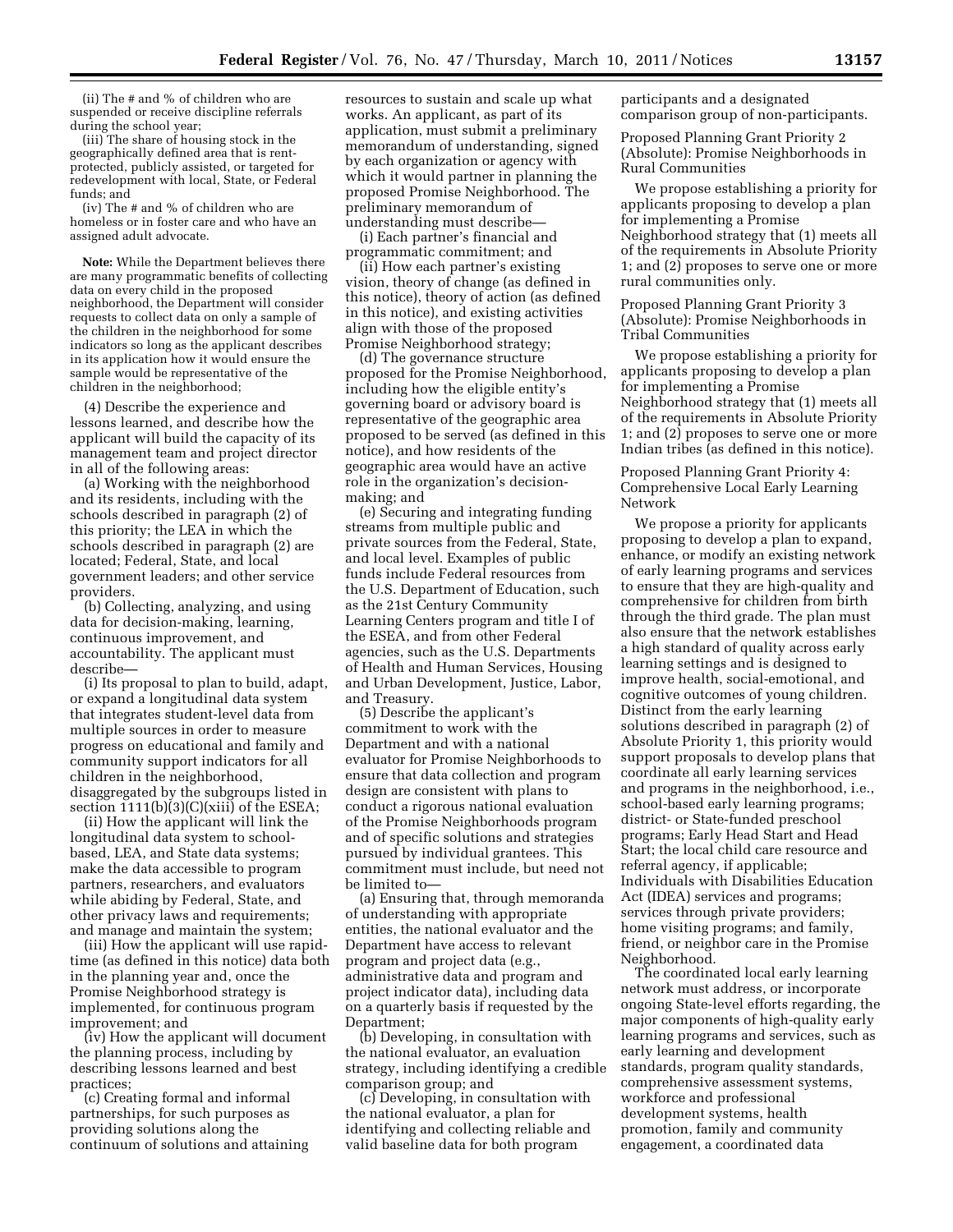(ii) The # and % of children who are suspended or receive discipline referrals during the school year;

(iii) The share of housing stock in the geographically defined area that is rentprotected, publicly assisted, or targeted for redevelopment with local, State, or Federal funds; and

(iv) The # and % of children who are homeless or in foster care and who have an assigned adult advocate.

**Note:** While the Department believes there are many programmatic benefits of collecting data on every child in the proposed neighborhood, the Department will consider requests to collect data on only a sample of the children in the neighborhood for some indicators so long as the applicant describes in its application how it would ensure the sample would be representative of the children in the neighborhood;

(4) Describe the experience and lessons learned, and describe how the applicant will build the capacity of its management team and project director in all of the following areas:

(a) Working with the neighborhood and its residents, including with the schools described in paragraph (2) of this priority; the LEA in which the schools described in paragraph (2) are located; Federal, State, and local government leaders; and other service providers.

(b) Collecting, analyzing, and using data for decision-making, learning, continuous improvement, and accountability. The applicant must describe—

(i) Its proposal to plan to build, adapt, or expand a longitudinal data system that integrates student-level data from multiple sources in order to measure progress on educational and family and community support indicators for all children in the neighborhood, disaggregated by the subgroups listed in section 1111(b)(3)(C)(xiii) of the ESEA;

(ii) How the applicant will link the longitudinal data system to schoolbased, LEA, and State data systems; make the data accessible to program partners, researchers, and evaluators while abiding by Federal, State, and other privacy laws and requirements; and manage and maintain the system;

(iii) How the applicant will use rapidtime (as defined in this notice) data both in the planning year and, once the Promise Neighborhood strategy is implemented, for continuous program improvement; and

(iv) How the applicant will document the planning process, including by describing lessons learned and best practices;

(c) Creating formal and informal partnerships, for such purposes as providing solutions along the continuum of solutions and attaining resources to sustain and scale up what works. An applicant, as part of its application, must submit a preliminary memorandum of understanding, signed by each organization or agency with which it would partner in planning the proposed Promise Neighborhood. The preliminary memorandum of understanding must describe—

(i) Each partner's financial and programmatic commitment; and

(ii) How each partner's existing vision, theory of change (as defined in this notice), theory of action (as defined in this notice), and existing activities align with those of the proposed Promise Neighborhood strategy;

(d) The governance structure proposed for the Promise Neighborhood, including how the eligible entity's governing board or advisory board is representative of the geographic area proposed to be served (as defined in this notice), and how residents of the geographic area would have an active role in the organization's decisionmaking; and

(e) Securing and integrating funding streams from multiple public and private sources from the Federal, State, and local level. Examples of public funds include Federal resources from the U.S. Department of Education, such as the 21st Century Community Learning Centers program and title I of the ESEA, and from other Federal agencies, such as the U.S. Departments of Health and Human Services, Housing and Urban Development, Justice, Labor, and Treasury.

(5) Describe the applicant's commitment to work with the Department and with a national evaluator for Promise Neighborhoods to ensure that data collection and program design are consistent with plans to conduct a rigorous national evaluation of the Promise Neighborhoods program and of specific solutions and strategies pursued by individual grantees. This commitment must include, but need not be limited to—

(a) Ensuring that, through memoranda of understanding with appropriate entities, the national evaluator and the Department have access to relevant program and project data (e.g., administrative data and program and project indicator data), including data on a quarterly basis if requested by the Department;

(b) Developing, in consultation with the national evaluator, an evaluation strategy, including identifying a credible comparison group; and

(c) Developing, in consultation with the national evaluator, a plan for identifying and collecting reliable and valid baseline data for both program

participants and a designated comparison group of non-participants.

Proposed Planning Grant Priority 2 (Absolute): Promise Neighborhoods in Rural Communities

We propose establishing a priority for applicants proposing to develop a plan for implementing a Promise Neighborhood strategy that (1) meets all of the requirements in Absolute Priority 1; and (2) proposes to serve one or more rural communities only.

Proposed Planning Grant Priority 3 (Absolute): Promise Neighborhoods in Tribal Communities

We propose establishing a priority for applicants proposing to develop a plan for implementing a Promise Neighborhood strategy that (1) meets all of the requirements in Absolute Priority 1; and (2) proposes to serve one or more Indian tribes (as defined in this notice).

Proposed Planning Grant Priority 4: Comprehensive Local Early Learning Network

We propose a priority for applicants proposing to develop a plan to expand, enhance, or modify an existing network of early learning programs and services to ensure that they are high-quality and comprehensive for children from birth through the third grade. The plan must also ensure that the network establishes a high standard of quality across early learning settings and is designed to improve health, social-emotional, and cognitive outcomes of young children. Distinct from the early learning solutions described in paragraph (2) of Absolute Priority 1, this priority would support proposals to develop plans that coordinate all early learning services and programs in the neighborhood, i.e., school-based early learning programs; district- or State-funded preschool programs; Early Head Start and Head Start; the local child care resource and referral agency, if applicable; Individuals with Disabilities Education Act (IDEA) services and programs; services through private providers; home visiting programs; and family, friend, or neighbor care in the Promise Neighborhood.

The coordinated local early learning network must address, or incorporate ongoing State-level efforts regarding, the major components of high-quality early learning programs and services, such as early learning and development standards, program quality standards, comprehensive assessment systems, workforce and professional development systems, health promotion, family and community engagement, a coordinated data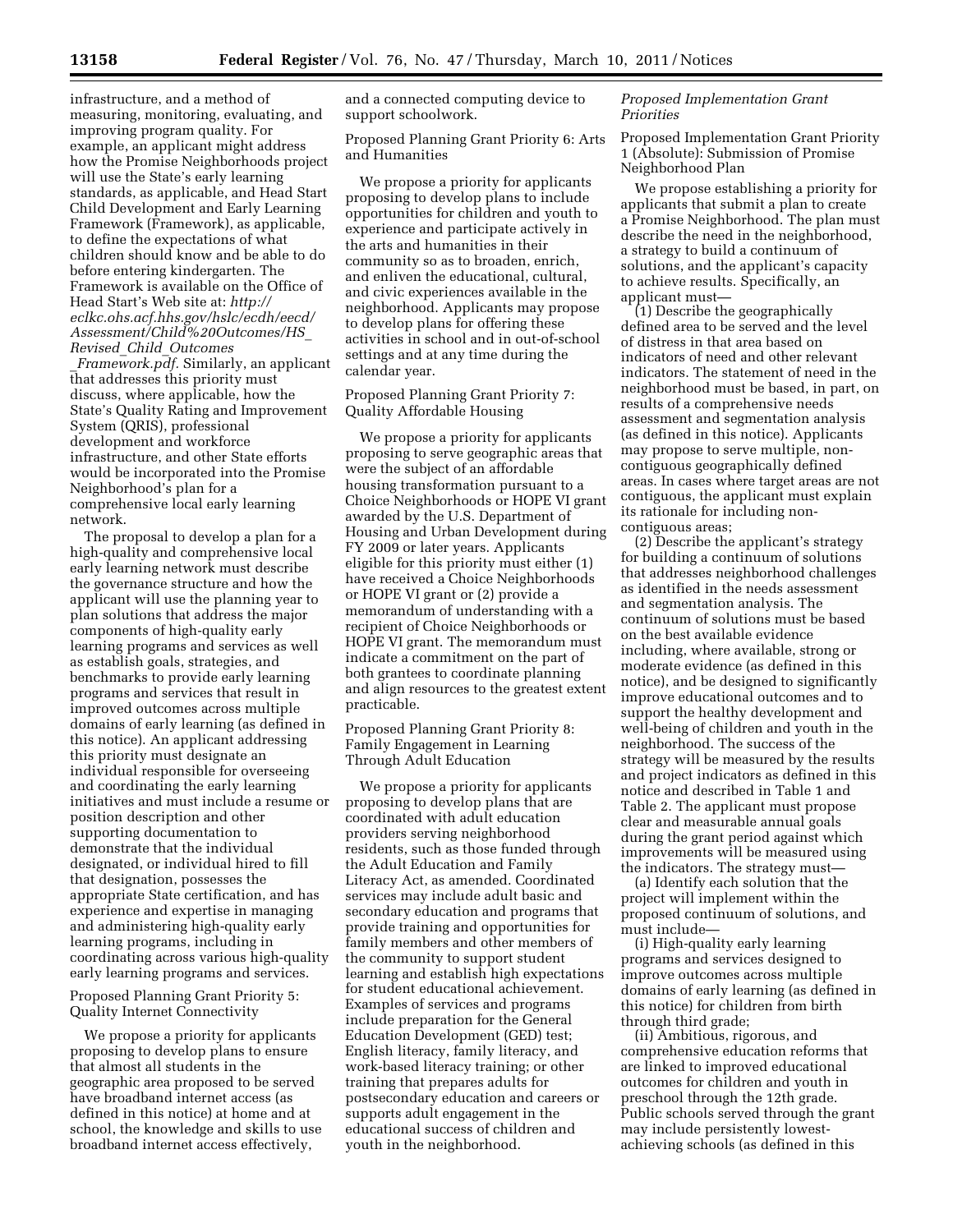infrastructure, and a method of measuring, monitoring, evaluating, and improving program quality. For example, an applicant might address how the Promise Neighborhoods project will use the State's early learning standards, as applicable, and Head Start Child Development and Early Learning Framework (Framework), as applicable, to define the expectations of what children should know and be able to do before entering kindergarten. The Framework is available on the Office of Head Start's Web site at: *[http://](http://eclkc.ohs.acf.hhs.gov/hslc/ecdh/eecd/Assessment/Child%20Outcomes/HS_Revised_Child_Outcomes_Framework.pdf) [eclkc.ohs.acf.hhs.gov/hslc/ecdh/eecd/](http://eclkc.ohs.acf.hhs.gov/hslc/ecdh/eecd/Assessment/Child%20Outcomes/HS_Revised_Child_Outcomes_Framework.pdf) [Assessment/Child%20Outcomes/HS](http://eclkc.ohs.acf.hhs.gov/hslc/ecdh/eecd/Assessment/Child%20Outcomes/HS_Revised_Child_Outcomes_Framework.pdf)*\_ *Revised*\_*Child*\_*[Outcomes](http://eclkc.ohs.acf.hhs.gov/hslc/ecdh/eecd/Assessment/Child%20Outcomes/HS_Revised_Child_Outcomes_Framework.pdf)*

\_*[Framework.pdf.](http://eclkc.ohs.acf.hhs.gov/hslc/ecdh/eecd/Assessment/Child%20Outcomes/HS_Revised_Child_Outcomes_Framework.pdf)* Similarly, an applicant that addresses this priority must discuss, where applicable, how the State's Quality Rating and Improvement System (QRIS), professional development and workforce infrastructure, and other State efforts would be incorporated into the Promise Neighborhood's plan for a comprehensive local early learning network.

The proposal to develop a plan for a high-quality and comprehensive local early learning network must describe the governance structure and how the applicant will use the planning year to plan solutions that address the major components of high-quality early learning programs and services as well as establish goals, strategies, and benchmarks to provide early learning programs and services that result in improved outcomes across multiple domains of early learning (as defined in this notice). An applicant addressing this priority must designate an individual responsible for overseeing and coordinating the early learning initiatives and must include a resume or position description and other supporting documentation to demonstrate that the individual designated, or individual hired to fill that designation, possesses the appropriate State certification, and has experience and expertise in managing and administering high-quality early learning programs, including in coordinating across various high-quality early learning programs and services.

## Proposed Planning Grant Priority 5: Quality Internet Connectivity

We propose a priority for applicants proposing to develop plans to ensure that almost all students in the geographic area proposed to be served have broadband internet access (as defined in this notice) at home and at school, the knowledge and skills to use broadband internet access effectively,

and a connected computing device to support schoolwork.

Proposed Planning Grant Priority 6: Arts and Humanities

We propose a priority for applicants proposing to develop plans to include opportunities for children and youth to experience and participate actively in the arts and humanities in their community so as to broaden, enrich, and enliven the educational, cultural, and civic experiences available in the neighborhood. Applicants may propose to develop plans for offering these activities in school and in out-of-school settings and at any time during the calendar year.

# Proposed Planning Grant Priority 7: Quality Affordable Housing

We propose a priority for applicants proposing to serve geographic areas that were the subject of an affordable housing transformation pursuant to a Choice Neighborhoods or HOPE VI grant awarded by the U.S. Department of Housing and Urban Development during FY 2009 or later years. Applicants eligible for this priority must either (1) have received a Choice Neighborhoods or HOPE VI grant or (2) provide a memorandum of understanding with a recipient of Choice Neighborhoods or HOPE VI grant. The memorandum must indicate a commitment on the part of both grantees to coordinate planning and align resources to the greatest extent practicable.

Proposed Planning Grant Priority 8: Family Engagement in Learning Through Adult Education

We propose a priority for applicants proposing to develop plans that are coordinated with adult education providers serving neighborhood residents, such as those funded through the Adult Education and Family Literacy Act, as amended. Coordinated services may include adult basic and secondary education and programs that provide training and opportunities for family members and other members of the community to support student learning and establish high expectations for student educational achievement. Examples of services and programs include preparation for the General Education Development (GED) test; English literacy, family literacy, and work-based literacy training; or other training that prepares adults for postsecondary education and careers or supports adult engagement in the educational success of children and youth in the neighborhood.

## *Proposed Implementation Grant Priorities*

Proposed Implementation Grant Priority 1 (Absolute): Submission of Promise Neighborhood Plan

We propose establishing a priority for applicants that submit a plan to create a Promise Neighborhood. The plan must describe the need in the neighborhood, a strategy to build a continuum of solutions, and the applicant's capacity to achieve results. Specifically, an applicant must—

(1) Describe the geographically defined area to be served and the level of distress in that area based on indicators of need and other relevant indicators. The statement of need in the neighborhood must be based, in part, on results of a comprehensive needs assessment and segmentation analysis (as defined in this notice). Applicants may propose to serve multiple, noncontiguous geographically defined areas. In cases where target areas are not contiguous, the applicant must explain its rationale for including noncontiguous areas;

(2) Describe the applicant's strategy for building a continuum of solutions that addresses neighborhood challenges as identified in the needs assessment and segmentation analysis. The continuum of solutions must be based on the best available evidence including, where available, strong or moderate evidence (as defined in this notice), and be designed to significantly improve educational outcomes and to support the healthy development and well-being of children and youth in the neighborhood. The success of the strategy will be measured by the results and project indicators as defined in this notice and described in Table 1 and Table 2. The applicant must propose clear and measurable annual goals during the grant period against which improvements will be measured using the indicators. The strategy must—

(a) Identify each solution that the project will implement within the proposed continuum of solutions, and must include—

(i) High-quality early learning programs and services designed to improve outcomes across multiple domains of early learning (as defined in this notice) for children from birth through third grade;

(ii) Ambitious, rigorous, and comprehensive education reforms that are linked to improved educational outcomes for children and youth in preschool through the 12th grade. Public schools served through the grant may include persistently lowestachieving schools (as defined in this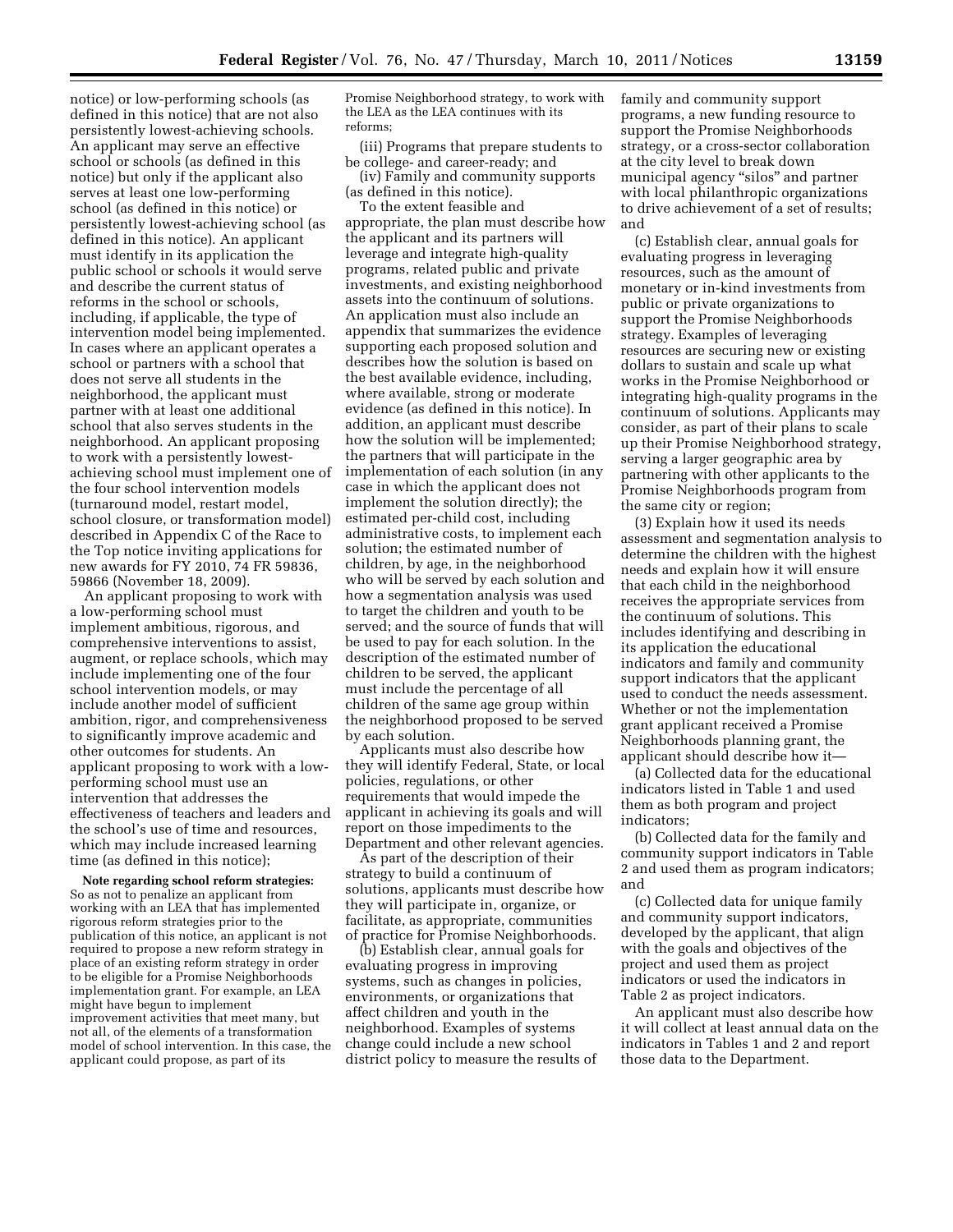notice) or low-performing schools (as defined in this notice) that are not also persistently lowest-achieving schools. An applicant may serve an effective school or schools (as defined in this notice) but only if the applicant also serves at least one low-performing school (as defined in this notice) or persistently lowest-achieving school (as defined in this notice). An applicant must identify in its application the public school or schools it would serve and describe the current status of reforms in the school or schools, including, if applicable, the type of intervention model being implemented. In cases where an applicant operates a school or partners with a school that does not serve all students in the neighborhood, the applicant must partner with at least one additional school that also serves students in the neighborhood. An applicant proposing to work with a persistently lowestachieving school must implement one of the four school intervention models (turnaround model, restart model, school closure, or transformation model) described in Appendix C of the Race to the Top notice inviting applications for new awards for FY 2010, 74 FR 59836, 59866 (November 18, 2009).

An applicant proposing to work with a low-performing school must implement ambitious, rigorous, and comprehensive interventions to assist, augment, or replace schools, which may include implementing one of the four school intervention models, or may include another model of sufficient ambition, rigor, and comprehensiveness to significantly improve academic and other outcomes for students. An applicant proposing to work with a lowperforming school must use an intervention that addresses the effectiveness of teachers and leaders and the school's use of time and resources, which may include increased learning time (as defined in this notice);

**Note regarding school reform strategies:**  So as not to penalize an applicant from working with an LEA that has implemented rigorous reform strategies prior to the publication of this notice, an applicant is not required to propose a new reform strategy in place of an existing reform strategy in order to be eligible for a Promise Neighborhoods implementation grant. For example, an LEA might have begun to implement improvement activities that meet many, but not all, of the elements of a transformation model of school intervention. In this case, the applicant could propose, as part of its

Promise Neighborhood strategy, to work with the LEA as the LEA continues with its reforms;

(iii) Programs that prepare students to be college- and career-ready; and

(iv) Family and community supports (as defined in this notice).

To the extent feasible and appropriate, the plan must describe how the applicant and its partners will leverage and integrate high-quality programs, related public and private investments, and existing neighborhood assets into the continuum of solutions. An application must also include an appendix that summarizes the evidence supporting each proposed solution and describes how the solution is based on the best available evidence, including, where available, strong or moderate evidence (as defined in this notice). In addition, an applicant must describe how the solution will be implemented; the partners that will participate in the implementation of each solution (in any case in which the applicant does not implement the solution directly); the estimated per-child cost, including administrative costs, to implement each solution; the estimated number of children, by age, in the neighborhood who will be served by each solution and how a segmentation analysis was used to target the children and youth to be served; and the source of funds that will be used to pay for each solution. In the description of the estimated number of children to be served, the applicant must include the percentage of all children of the same age group within the neighborhood proposed to be served by each solution.

Applicants must also describe how they will identify Federal, State, or local policies, regulations, or other requirements that would impede the applicant in achieving its goals and will report on those impediments to the Department and other relevant agencies.

As part of the description of their strategy to build a continuum of solutions, applicants must describe how they will participate in, organize, or facilitate, as appropriate, communities of practice for Promise Neighborhoods.

(b) Establish clear, annual goals for evaluating progress in improving systems, such as changes in policies, environments, or organizations that affect children and youth in the neighborhood. Examples of systems change could include a new school district policy to measure the results of family and community support programs, a new funding resource to support the Promise Neighborhoods strategy, or a cross-sector collaboration at the city level to break down municipal agency "silos" and partner with local philanthropic organizations to drive achievement of a set of results; and

(c) Establish clear, annual goals for evaluating progress in leveraging resources, such as the amount of monetary or in-kind investments from public or private organizations to support the Promise Neighborhoods strategy. Examples of leveraging resources are securing new or existing dollars to sustain and scale up what works in the Promise Neighborhood or integrating high-quality programs in the continuum of solutions. Applicants may consider, as part of their plans to scale up their Promise Neighborhood strategy, serving a larger geographic area by partnering with other applicants to the Promise Neighborhoods program from the same city or region;

(3) Explain how it used its needs assessment and segmentation analysis to determine the children with the highest needs and explain how it will ensure that each child in the neighborhood receives the appropriate services from the continuum of solutions. This includes identifying and describing in its application the educational indicators and family and community support indicators that the applicant used to conduct the needs assessment. Whether or not the implementation grant applicant received a Promise Neighborhoods planning grant, the applicant should describe how it—

(a) Collected data for the educational indicators listed in Table 1 and used them as both program and project indicators;

(b) Collected data for the family and community support indicators in Table 2 and used them as program indicators; and

(c) Collected data for unique family and community support indicators, developed by the applicant, that align with the goals and objectives of the project and used them as project indicators or used the indicators in Table 2 as project indicators.

An applicant must also describe how it will collect at least annual data on the indicators in Tables 1 and 2 and report those data to the Department.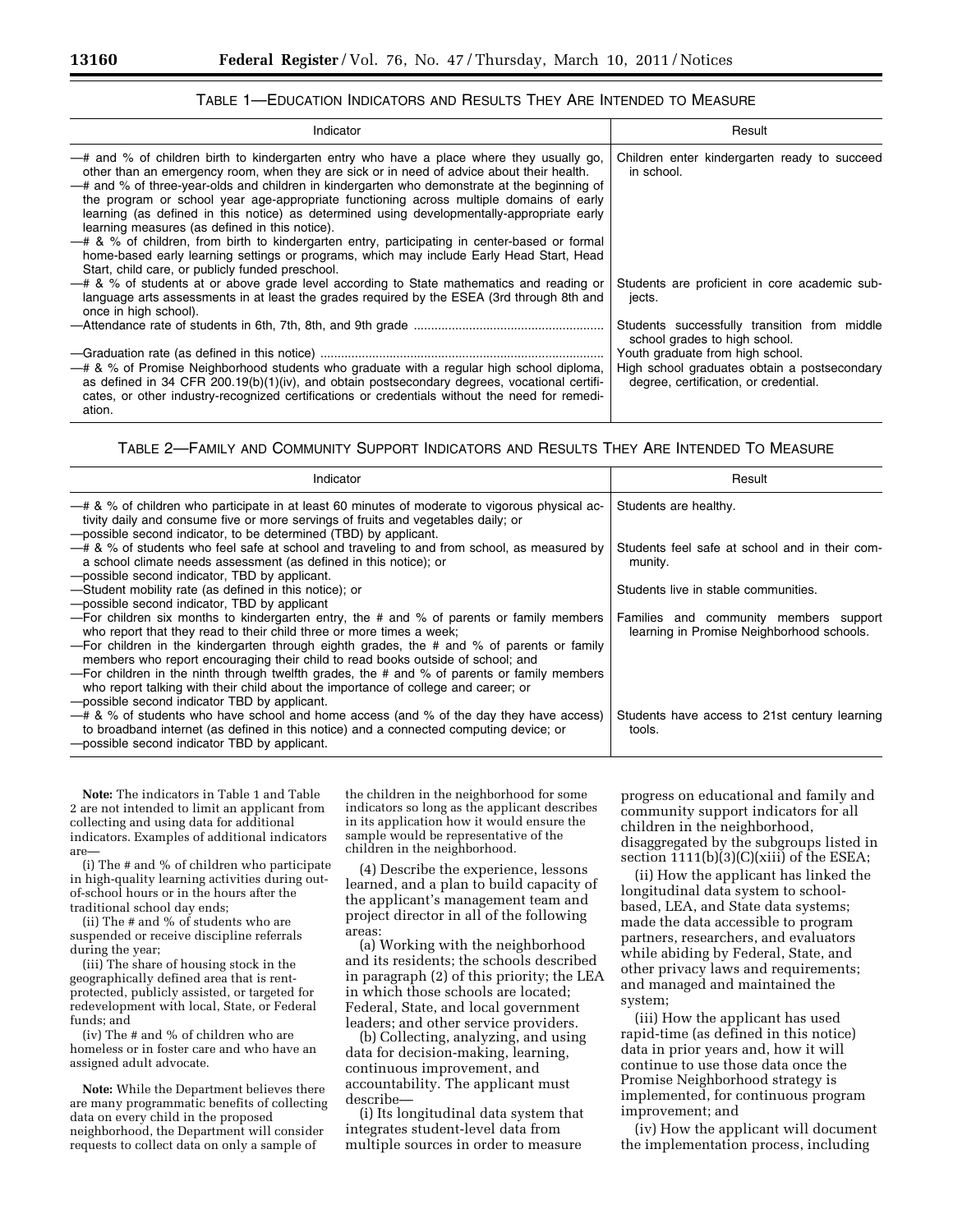| Indicator                                                                                                                                                                                                                                                                                                                                                                                                                                                                                                                                                                                                                                                                                                                                                                          | Result                                                                                                                    |  |
|------------------------------------------------------------------------------------------------------------------------------------------------------------------------------------------------------------------------------------------------------------------------------------------------------------------------------------------------------------------------------------------------------------------------------------------------------------------------------------------------------------------------------------------------------------------------------------------------------------------------------------------------------------------------------------------------------------------------------------------------------------------------------------|---------------------------------------------------------------------------------------------------------------------------|--|
| -# and % of children birth to kindergarten entry who have a place where they usually go,<br>other than an emergency room, when they are sick or in need of advice about their health.<br>-# and % of three-year-olds and children in kindergarten who demonstrate at the beginning of<br>the program or school year age-appropriate functioning across multiple domains of early<br>learning (as defined in this notice) as determined using developmentally-appropriate early<br>learning measures (as defined in this notice).<br>- # & % of children, from birth to kindergarten entry, participating in center-based or formal<br>home-based early learning settings or programs, which may include Early Head Start, Head<br>Start, child care, or publicly funded preschool. | Children enter kindergarten ready to succeed<br>in school.                                                                |  |
| - # & % of students at or above grade level according to State mathematics and reading or<br>language arts assessments in at least the grades required by the ESEA (3rd through 8th and<br>once in high school).                                                                                                                                                                                                                                                                                                                                                                                                                                                                                                                                                                   | Students are proficient in core academic sub-<br>jects.                                                                   |  |
|                                                                                                                                                                                                                                                                                                                                                                                                                                                                                                                                                                                                                                                                                                                                                                                    | Students successfully transition from middle<br>school grades to high school.                                             |  |
| - # & % of Promise Neighborhood students who graduate with a regular high school diploma,<br>as defined in 34 CFR $200.19(b)(1)(iv)$ , and obtain postsecondary degrees, vocational certifi-<br>cates, or other industry-recognized certifications or credentials without the need for remedi-<br>ation.                                                                                                                                                                                                                                                                                                                                                                                                                                                                           | Youth graduate from high school.<br>High school graduates obtain a postsecondary<br>degree, certification, or credential. |  |

# TABLE 1—EDUCATION INDICATORS AND RESULTS THEY ARE INTENDED TO MEASURE

# TABLE 2—FAMILY AND COMMUNITY SUPPORT INDICATORS AND RESULTS THEY ARE INTENDED TO MEASURE

| Indicator                                                                                                                                                                                                                                                                                                                                                                                                                                                                                                                                                                                    | Result                                                                              |  |
|----------------------------------------------------------------------------------------------------------------------------------------------------------------------------------------------------------------------------------------------------------------------------------------------------------------------------------------------------------------------------------------------------------------------------------------------------------------------------------------------------------------------------------------------------------------------------------------------|-------------------------------------------------------------------------------------|--|
| -# & % of children who participate in at least 60 minutes of moderate to vigorous physical ac-<br>tivity daily and consume five or more servings of fruits and vegetables daily; or<br>-possible second indicator, to be determined (TBD) by applicant.                                                                                                                                                                                                                                                                                                                                      | Students are healthy.                                                               |  |
| -# & % of students who feel safe at school and traveling to and from school, as measured by<br>a school climate needs assessment (as defined in this notice); or<br>-possible second indicator, TBD by applicant.                                                                                                                                                                                                                                                                                                                                                                            | Students feel safe at school and in their com-<br>munity.                           |  |
| -Student mobility rate (as defined in this notice); or<br>-possible second indicator. TBD by applicant                                                                                                                                                                                                                                                                                                                                                                                                                                                                                       | Students live in stable communities.                                                |  |
| - For children six months to kindergarten entry, the $#$ and % of parents or family members<br>who report that they read to their child three or more times a week;<br>—For children in the kindergarten through eighth grades, the # and % of parents or family<br>members who report encouraging their child to read books outside of school; and<br>- For children in the ninth through twelfth grades, the $\#$ and % of parents or family members<br>who report talking with their child about the importance of college and career; or<br>-possible second indicator TBD by applicant. | Families and community members support<br>learning in Promise Neighborhood schools. |  |
| $-$ # & % of students who have school and home access (and % of the day they have access)<br>to broadband internet (as defined in this notice) and a connected computing device; or<br>-possible second indicator TBD by applicant.                                                                                                                                                                                                                                                                                                                                                          | Students have access to 21st century learning<br>tools.                             |  |

**Note:** The indicators in Table 1 and Table 2 are not intended to limit an applicant from collecting and using data for additional indicators. Examples of additional indicators are—

(i) The # and % of children who participate in high-quality learning activities during outof-school hours or in the hours after the traditional school day ends;

(ii) The # and % of students who are suspended or receive discipline referrals during the year;

(iii) The share of housing stock in the geographically defined area that is rentprotected, publicly assisted, or targeted for redevelopment with local, State, or Federal funds; and

(iv) The # and % of children who are homeless or in foster care and who have an assigned adult advocate.

**Note:** While the Department believes there are many programmatic benefits of collecting data on every child in the proposed neighborhood, the Department will consider requests to collect data on only a sample of

the children in the neighborhood for some indicators so long as the applicant describes in its application how it would ensure the sample would be representative of the children in the neighborhood.

(4) Describe the experience, lessons learned, and a plan to build capacity of the applicant's management team and project director in all of the following areas:

(a) Working with the neighborhood and its residents; the schools described in paragraph (2) of this priority; the LEA in which those schools are located; Federal, State, and local government leaders; and other service providers.

(b) Collecting, analyzing, and using data for decision-making, learning, continuous improvement, and accountability. The applicant must describe—

(i) Its longitudinal data system that integrates student-level data from multiple sources in order to measure

progress on educational and family and community support indicators for all children in the neighborhood, disaggregated by the subgroups listed in section 1111(b)(3)(C)(xiii) of the ESEA;

(ii) How the applicant has linked the longitudinal data system to schoolbased, LEA, and State data systems; made the data accessible to program partners, researchers, and evaluators while abiding by Federal, State, and other privacy laws and requirements; and managed and maintained the system;

(iii) How the applicant has used rapid-time (as defined in this notice) data in prior years and, how it will continue to use those data once the Promise Neighborhood strategy is implemented, for continuous program improvement; and

(iv) How the applicant will document the implementation process, including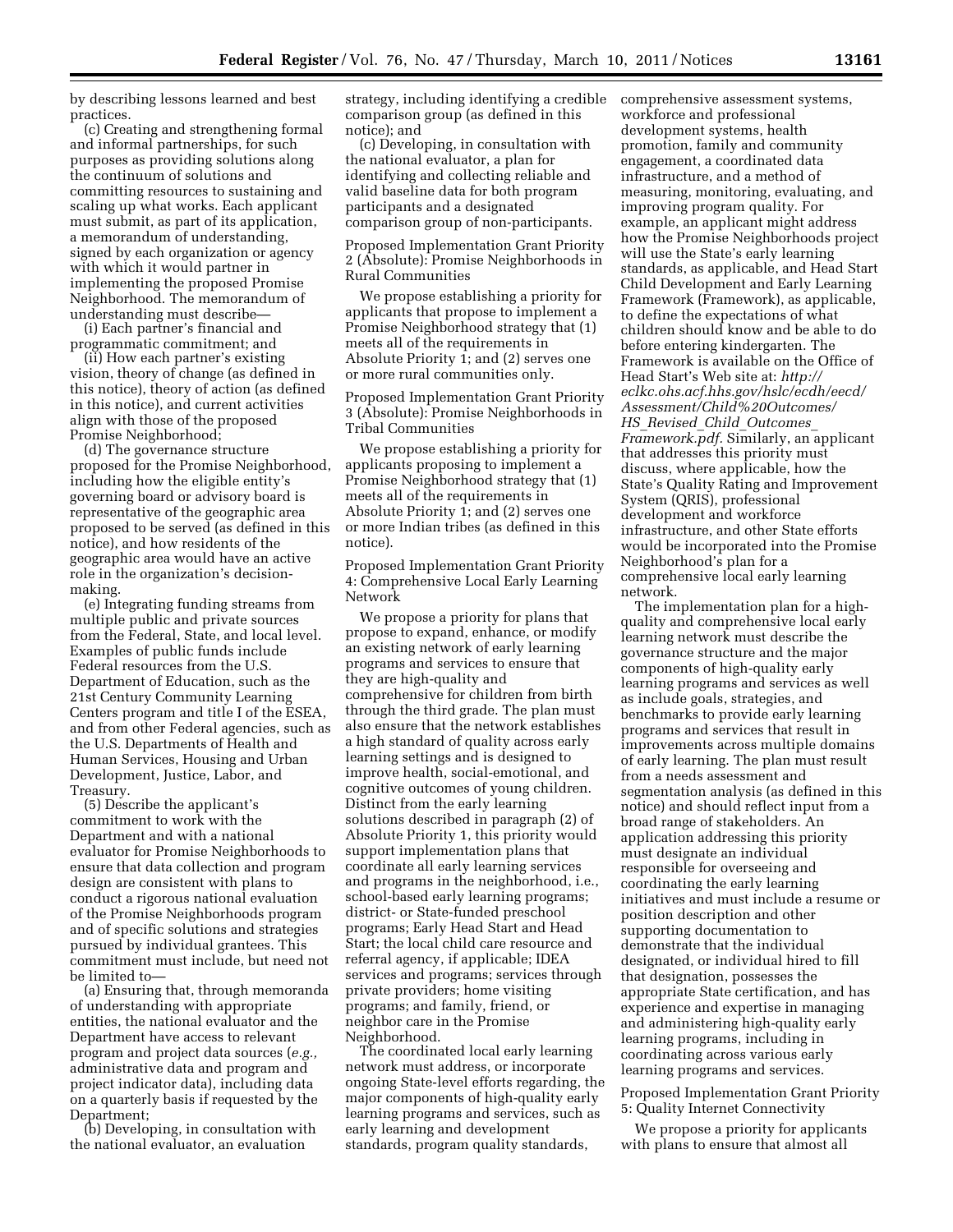by describing lessons learned and best practices.

(c) Creating and strengthening formal and informal partnerships, for such purposes as providing solutions along the continuum of solutions and committing resources to sustaining and scaling up what works. Each applicant must submit, as part of its application, a memorandum of understanding, signed by each organization or agency with which it would partner in implementing the proposed Promise Neighborhood. The memorandum of understanding must describe—

(i) Each partner's financial and programmatic commitment; and

(ii) How each partner's existing vision, theory of change (as defined in this notice), theory of action (as defined in this notice), and current activities align with those of the proposed Promise Neighborhood;

(d) The governance structure proposed for the Promise Neighborhood, including how the eligible entity's governing board or advisory board is representative of the geographic area proposed to be served (as defined in this notice), and how residents of the geographic area would have an active role in the organization's decisionmaking.

(e) Integrating funding streams from multiple public and private sources from the Federal, State, and local level. Examples of public funds include Federal resources from the U.S. Department of Education, such as the 21st Century Community Learning Centers program and title I of the ESEA, and from other Federal agencies, such as the U.S. Departments of Health and Human Services, Housing and Urban Development, Justice, Labor, and Treasury.

(5) Describe the applicant's commitment to work with the Department and with a national evaluator for Promise Neighborhoods to ensure that data collection and program design are consistent with plans to conduct a rigorous national evaluation of the Promise Neighborhoods program and of specific solutions and strategies pursued by individual grantees. This commitment must include, but need not be limited to—

(a) Ensuring that, through memoranda of understanding with appropriate entities, the national evaluator and the Department have access to relevant program and project data sources (*e.g.,*  administrative data and program and project indicator data), including data on a quarterly basis if requested by the Department;

(b) Developing, in consultation with the national evaluator, an evaluation

strategy, including identifying a credible comparison group (as defined in this notice); and

(c) Developing, in consultation with the national evaluator, a plan for identifying and collecting reliable and valid baseline data for both program participants and a designated comparison group of non-participants.

Proposed Implementation Grant Priority 2 (Absolute): Promise Neighborhoods in Rural Communities

We propose establishing a priority for applicants that propose to implement a Promise Neighborhood strategy that (1) meets all of the requirements in Absolute Priority 1; and (2) serves one or more rural communities only.

Proposed Implementation Grant Priority 3 (Absolute): Promise Neighborhoods in Tribal Communities

We propose establishing a priority for applicants proposing to implement a Promise Neighborhood strategy that (1) meets all of the requirements in Absolute Priority 1; and (2) serves one or more Indian tribes (as defined in this notice).

Proposed Implementation Grant Priority 4: Comprehensive Local Early Learning Network

We propose a priority for plans that propose to expand, enhance, or modify an existing network of early learning programs and services to ensure that they are high-quality and comprehensive for children from birth through the third grade. The plan must also ensure that the network establishes a high standard of quality across early learning settings and is designed to improve health, social-emotional, and cognitive outcomes of young children. Distinct from the early learning solutions described in paragraph (2) of Absolute Priority 1, this priority would support implementation plans that coordinate all early learning services and programs in the neighborhood, i.e., school-based early learning programs; district- or State-funded preschool programs; Early Head Start and Head Start; the local child care resource and referral agency, if applicable; IDEA services and programs; services through private providers; home visiting programs; and family, friend, or neighbor care in the Promise Neighborhood.

The coordinated local early learning network must address, or incorporate ongoing State-level efforts regarding, the major components of high-quality early learning programs and services, such as early learning and development standards, program quality standards,

comprehensive assessment systems, workforce and professional development systems, health promotion, family and community engagement, a coordinated data infrastructure, and a method of measuring, monitoring, evaluating, and improving program quality. For example, an applicant might address how the Promise Neighborhoods project will use the State's early learning standards, as applicable, and Head Start Child Development and Early Learning Framework (Framework), as applicable, to define the expectations of what children should know and be able to do before entering kindergarten. The Framework is available on the Office of Head Start's Web site at: *[http://](http://eclkc.ohs.acf.hhs.gov/hslc/ecdh/eecd/Assessment/Child%20Outcomes/HS_Revised_Child_Outcomes_Framework.pdf) [eclkc.ohs.acf.hhs.gov/hslc/ecdh/eecd/](http://eclkc.ohs.acf.hhs.gov/hslc/ecdh/eecd/Assessment/Child%20Outcomes/HS_Revised_Child_Outcomes_Framework.pdf) [Assessment/Child%20Outcomes/](http://eclkc.ohs.acf.hhs.gov/hslc/ecdh/eecd/Assessment/Child%20Outcomes/HS_Revised_Child_Outcomes_Framework.pdf) HS*\_*Revised*\_*Child*\_*[Outcomes](http://eclkc.ohs.acf.hhs.gov/hslc/ecdh/eecd/Assessment/Child%20Outcomes/HS_Revised_Child_Outcomes_Framework.pdf)*\_ *[Framework.pdf.](http://eclkc.ohs.acf.hhs.gov/hslc/ecdh/eecd/Assessment/Child%20Outcomes/HS_Revised_Child_Outcomes_Framework.pdf)* Similarly, an applicant that addresses this priority must discuss, where applicable, how the State's Quality Rating and Improvement System (QRIS), professional development and workforce infrastructure, and other State efforts would be incorporated into the Promise Neighborhood's plan for a comprehensive local early learning network.

The implementation plan for a highquality and comprehensive local early learning network must describe the governance structure and the major components of high-quality early learning programs and services as well as include goals, strategies, and benchmarks to provide early learning programs and services that result in improvements across multiple domains of early learning. The plan must result from a needs assessment and segmentation analysis (as defined in this notice) and should reflect input from a broad range of stakeholders. An application addressing this priority must designate an individual responsible for overseeing and coordinating the early learning initiatives and must include a resume or position description and other supporting documentation to demonstrate that the individual designated, or individual hired to fill that designation, possesses the appropriate State certification, and has experience and expertise in managing and administering high-quality early learning programs, including in coordinating across various early learning programs and services.

Proposed Implementation Grant Priority 5: Quality Internet Connectivity

We propose a priority for applicants with plans to ensure that almost all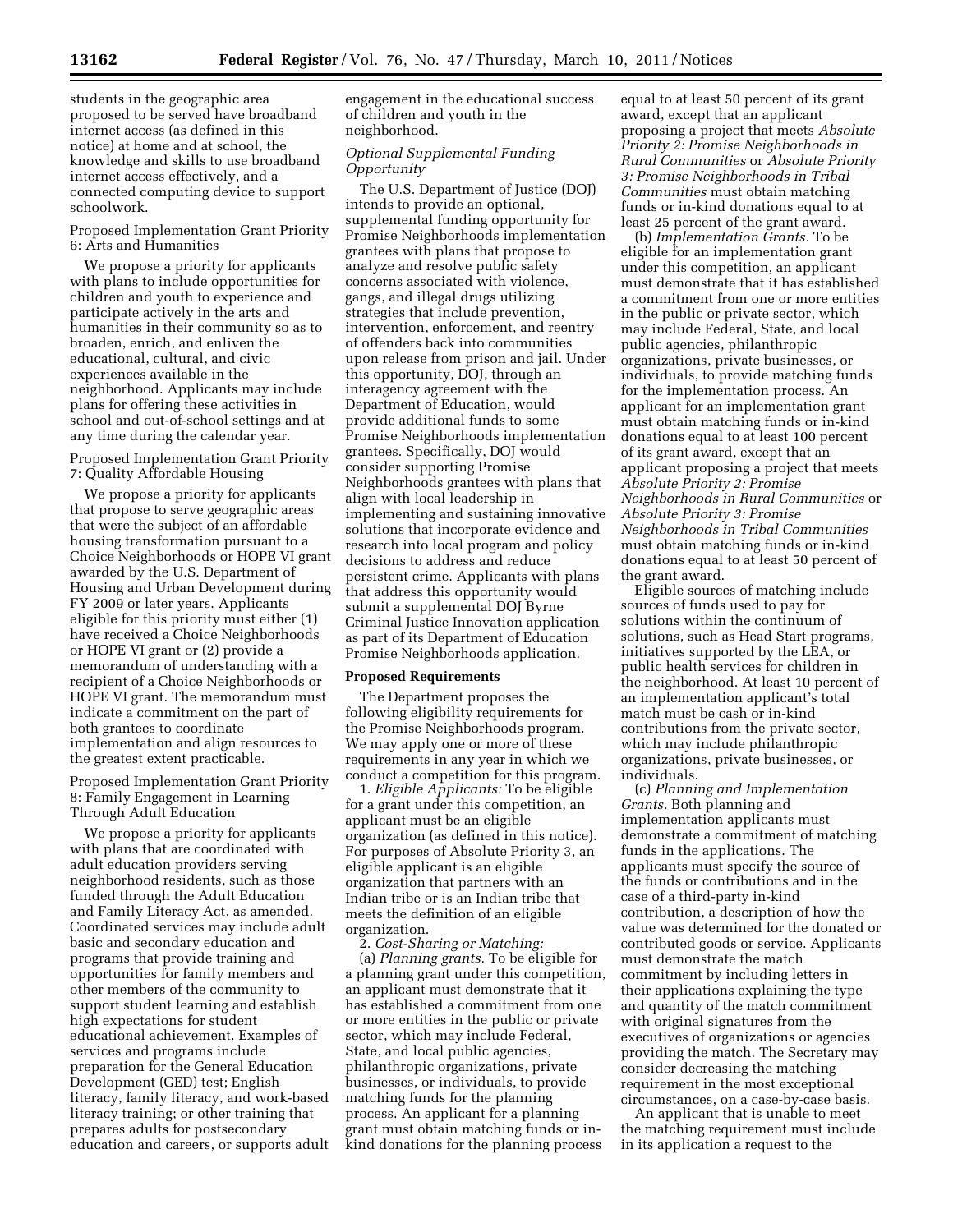students in the geographic area proposed to be served have broadband internet access (as defined in this notice) at home and at school, the knowledge and skills to use broadband internet access effectively, and a connected computing device to support schoolwork.

Proposed Implementation Grant Priority 6: Arts and Humanities

We propose a priority for applicants with plans to include opportunities for children and youth to experience and participate actively in the arts and humanities in their community so as to broaden, enrich, and enliven the educational, cultural, and civic experiences available in the neighborhood. Applicants may include plans for offering these activities in school and out-of-school settings and at any time during the calendar year.

Proposed Implementation Grant Priority 7: Quality Affordable Housing

We propose a priority for applicants that propose to serve geographic areas that were the subject of an affordable housing transformation pursuant to a Choice Neighborhoods or HOPE VI grant awarded by the U.S. Department of Housing and Urban Development during FY 2009 or later years. Applicants eligible for this priority must either (1) have received a Choice Neighborhoods or HOPE VI grant or (2) provide a memorandum of understanding with a recipient of a Choice Neighborhoods or HOPE VI grant. The memorandum must indicate a commitment on the part of both grantees to coordinate implementation and align resources to the greatest extent practicable.

Proposed Implementation Grant Priority 8: Family Engagement in Learning Through Adult Education

We propose a priority for applicants with plans that are coordinated with adult education providers serving neighborhood residents, such as those funded through the Adult Education and Family Literacy Act, as amended. Coordinated services may include adult basic and secondary education and programs that provide training and opportunities for family members and other members of the community to support student learning and establish high expectations for student educational achievement. Examples of services and programs include preparation for the General Education Development (GED) test; English literacy, family literacy, and work-based literacy training; or other training that prepares adults for postsecondary education and careers, or supports adult engagement in the educational success of children and youth in the neighborhood.

# *Optional Supplemental Funding Opportunity*

The U.S. Department of Justice (DOJ) intends to provide an optional, supplemental funding opportunity for Promise Neighborhoods implementation grantees with plans that propose to analyze and resolve public safety concerns associated with violence, gangs, and illegal drugs utilizing strategies that include prevention, intervention, enforcement, and reentry of offenders back into communities upon release from prison and jail. Under this opportunity, DOJ, through an interagency agreement with the Department of Education, would provide additional funds to some Promise Neighborhoods implementation grantees. Specifically, DOJ would consider supporting Promise Neighborhoods grantees with plans that align with local leadership in implementing and sustaining innovative solutions that incorporate evidence and research into local program and policy decisions to address and reduce persistent crime. Applicants with plans that address this opportunity would submit a supplemental DOJ Byrne Criminal Justice Innovation application as part of its Department of Education Promise Neighborhoods application.

## **Proposed Requirements**

The Department proposes the following eligibility requirements for the Promise Neighborhoods program. We may apply one or more of these requirements in any year in which we conduct a competition for this program.

1. *Eligible Applicants:* To be eligible for a grant under this competition, an applicant must be an eligible organization (as defined in this notice). For purposes of Absolute Priority 3, an eligible applicant is an eligible organization that partners with an Indian tribe or is an Indian tribe that meets the definition of an eligible organization.

2. *Cost-Sharing or Matching:*  (a) *Planning grants.* To be eligible for a planning grant under this competition, an applicant must demonstrate that it has established a commitment from one or more entities in the public or private sector, which may include Federal, State, and local public agencies, philanthropic organizations, private businesses, or individuals, to provide matching funds for the planning process. An applicant for a planning grant must obtain matching funds or inkind donations for the planning process

equal to at least 50 percent of its grant award, except that an applicant proposing a project that meets *Absolute Priority 2: Promise Neighborhoods in Rural Communities* or *Absolute Priority 3: Promise Neighborhoods in Tribal Communities* must obtain matching funds or in-kind donations equal to at least 25 percent of the grant award.

(b) *Implementation Grants.* To be eligible for an implementation grant under this competition, an applicant must demonstrate that it has established a commitment from one or more entities in the public or private sector, which may include Federal, State, and local public agencies, philanthropic organizations, private businesses, or individuals, to provide matching funds for the implementation process. An applicant for an implementation grant must obtain matching funds or in-kind donations equal to at least 100 percent of its grant award, except that an applicant proposing a project that meets *Absolute Priority 2: Promise Neighborhoods in Rural Communities* or *Absolute Priority 3: Promise Neighborhoods in Tribal Communities*  must obtain matching funds or in-kind donations equal to at least 50 percent of the grant award.

Eligible sources of matching include sources of funds used to pay for solutions within the continuum of solutions, such as Head Start programs, initiatives supported by the LEA, or public health services for children in the neighborhood. At least 10 percent of an implementation applicant's total match must be cash or in-kind contributions from the private sector, which may include philanthropic organizations, private businesses, or individuals.

(c) *Planning and Implementation Grants.* Both planning and implementation applicants must demonstrate a commitment of matching funds in the applications. The applicants must specify the source of the funds or contributions and in the case of a third-party in-kind contribution, a description of how the value was determined for the donated or contributed goods or service. Applicants must demonstrate the match commitment by including letters in their applications explaining the type and quantity of the match commitment with original signatures from the executives of organizations or agencies providing the match. The Secretary may consider decreasing the matching requirement in the most exceptional circumstances, on a case-by-case basis.

An applicant that is unable to meet the matching requirement must include in its application a request to the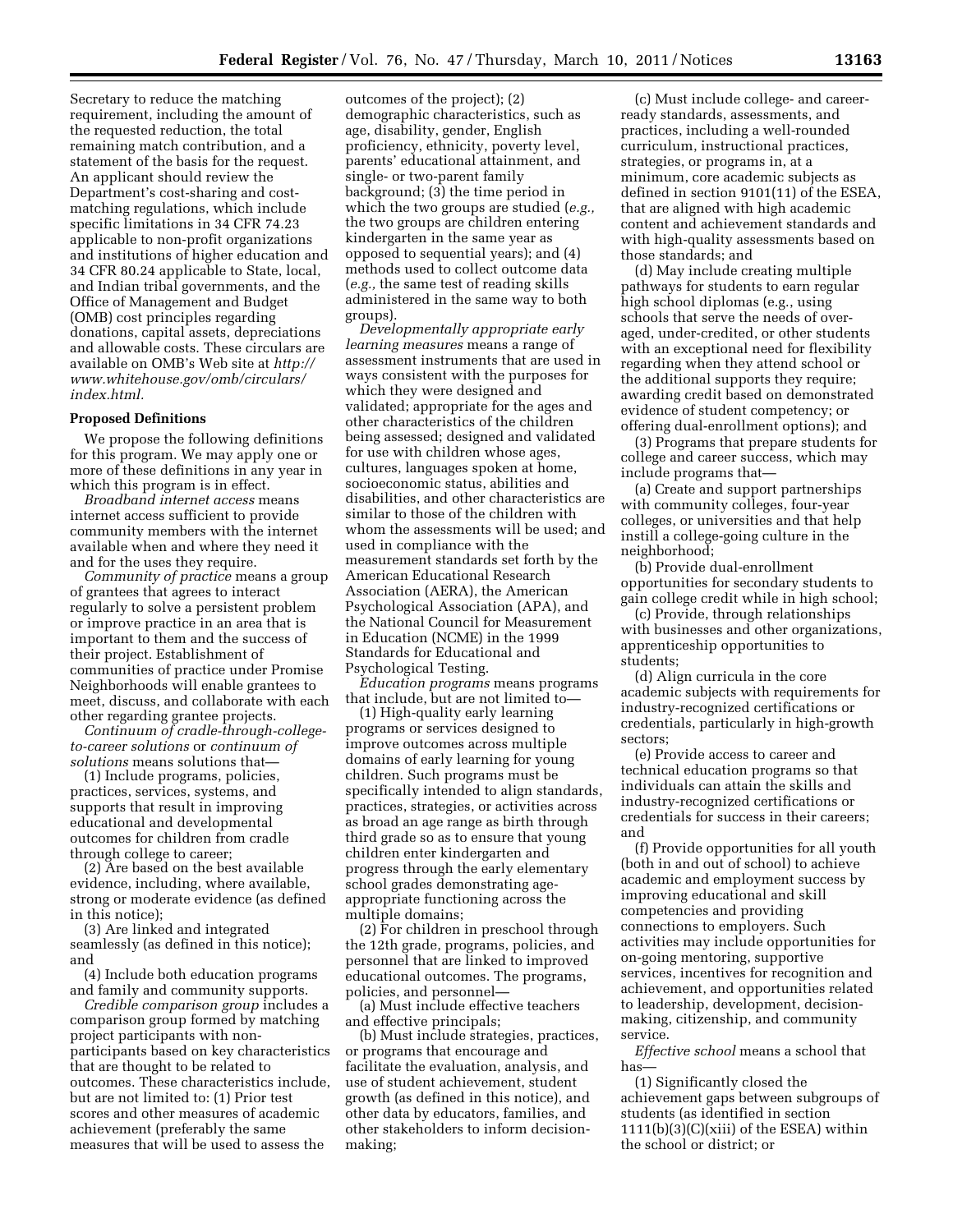Secretary to reduce the matching requirement, including the amount of the requested reduction, the total remaining match contribution, and a statement of the basis for the request. An applicant should review the Department's cost-sharing and costmatching regulations, which include specific limitations in 34 CFR 74.23 applicable to non-profit organizations and institutions of higher education and 34 CFR 80.24 applicable to State, local, and Indian tribal governments, and the Office of Management and Budget (OMB) cost principles regarding donations, capital assets, depreciations and allowable costs. These circulars are available on OMB's Web site at *[http://](http://www.whitehouse.gov/omb/circulars/index.html) [www.whitehouse.gov/omb/circulars/](http://www.whitehouse.gov/omb/circulars/index.html)  [index.html.](http://www.whitehouse.gov/omb/circulars/index.html)* 

### **Proposed Definitions**

We propose the following definitions for this program. We may apply one or more of these definitions in any year in which this program is in effect.

*Broadband internet access* means internet access sufficient to provide community members with the internet available when and where they need it and for the uses they require.

*Community of practice* means a group of grantees that agrees to interact regularly to solve a persistent problem or improve practice in an area that is important to them and the success of their project. Establishment of communities of practice under Promise Neighborhoods will enable grantees to meet, discuss, and collaborate with each other regarding grantee projects.

*Continuum of cradle-through-collegeto-career solutions* or *continuum of solutions* means solutions that—

(1) Include programs, policies, practices, services, systems, and supports that result in improving educational and developmental outcomes for children from cradle through college to career;

(2) Are based on the best available evidence, including, where available, strong or moderate evidence (as defined in this notice);

(3) Are linked and integrated seamlessly (as defined in this notice); and

(4) Include both education programs and family and community supports.

*Credible comparison group* includes a comparison group formed by matching project participants with nonparticipants based on key characteristics that are thought to be related to outcomes. These characteristics include, but are not limited to: (1) Prior test scores and other measures of academic achievement (preferably the same measures that will be used to assess the

outcomes of the project); (2) demographic characteristics, such as age, disability, gender, English proficiency, ethnicity, poverty level, parents' educational attainment, and single- or two-parent family background; (3) the time period in which the two groups are studied (*e.g.,*  the two groups are children entering kindergarten in the same year as opposed to sequential years); and (4) methods used to collect outcome data (*e.g.,* the same test of reading skills administered in the same way to both groups).

*Developmentally appropriate early learning measures* means a range of assessment instruments that are used in ways consistent with the purposes for which they were designed and validated; appropriate for the ages and other characteristics of the children being assessed; designed and validated for use with children whose ages, cultures, languages spoken at home, socioeconomic status, abilities and disabilities, and other characteristics are similar to those of the children with whom the assessments will be used; and used in compliance with the measurement standards set forth by the American Educational Research Association (AERA), the American Psychological Association (APA), and the National Council for Measurement in Education (NCME) in the 1999 Standards for Educational and Psychological Testing.

*Education programs* means programs that include, but are not limited to—

(1) High-quality early learning programs or services designed to improve outcomes across multiple domains of early learning for young children. Such programs must be specifically intended to align standards, practices, strategies, or activities across as broad an age range as birth through third grade so as to ensure that young children enter kindergarten and progress through the early elementary school grades demonstrating ageappropriate functioning across the multiple domains;

(2) For children in preschool through the 12th grade, programs, policies, and personnel that are linked to improved educational outcomes. The programs, policies, and personnel—

(a) Must include effective teachers and effective principals;

(b) Must include strategies, practices, or programs that encourage and facilitate the evaluation, analysis, and use of student achievement, student growth (as defined in this notice), and other data by educators, families, and other stakeholders to inform decisionmaking;

(c) Must include college- and careerready standards, assessments, and practices, including a well-rounded curriculum, instructional practices, strategies, or programs in, at a minimum, core academic subjects as defined in section 9101(11) of the ESEA, that are aligned with high academic content and achievement standards and with high-quality assessments based on those standards; and

(d) May include creating multiple pathways for students to earn regular high school diplomas (e.g., using schools that serve the needs of overaged, under-credited, or other students with an exceptional need for flexibility regarding when they attend school or the additional supports they require; awarding credit based on demonstrated evidence of student competency; or offering dual-enrollment options); and

(3) Programs that prepare students for college and career success, which may include programs that—

(a) Create and support partnerships with community colleges, four-year colleges, or universities and that help instill a college-going culture in the neighborhood;

(b) Provide dual-enrollment opportunities for secondary students to gain college credit while in high school;

(c) Provide, through relationships with businesses and other organizations, apprenticeship opportunities to students;

(d) Align curricula in the core academic subjects with requirements for industry-recognized certifications or credentials, particularly in high-growth sectors;

(e) Provide access to career and technical education programs so that individuals can attain the skills and industry-recognized certifications or credentials for success in their careers; and

(f) Provide opportunities for all youth (both in and out of school) to achieve academic and employment success by improving educational and skill competencies and providing connections to employers. Such activities may include opportunities for on-going mentoring, supportive services, incentives for recognition and achievement, and opportunities related to leadership, development, decisionmaking, citizenship, and community service.

*Effective school* means a school that has—

(1) Significantly closed the achievement gaps between subgroups of students (as identified in section  $1111(b)(3)(C)(xiii)$  of the ESEA) within the school or district; or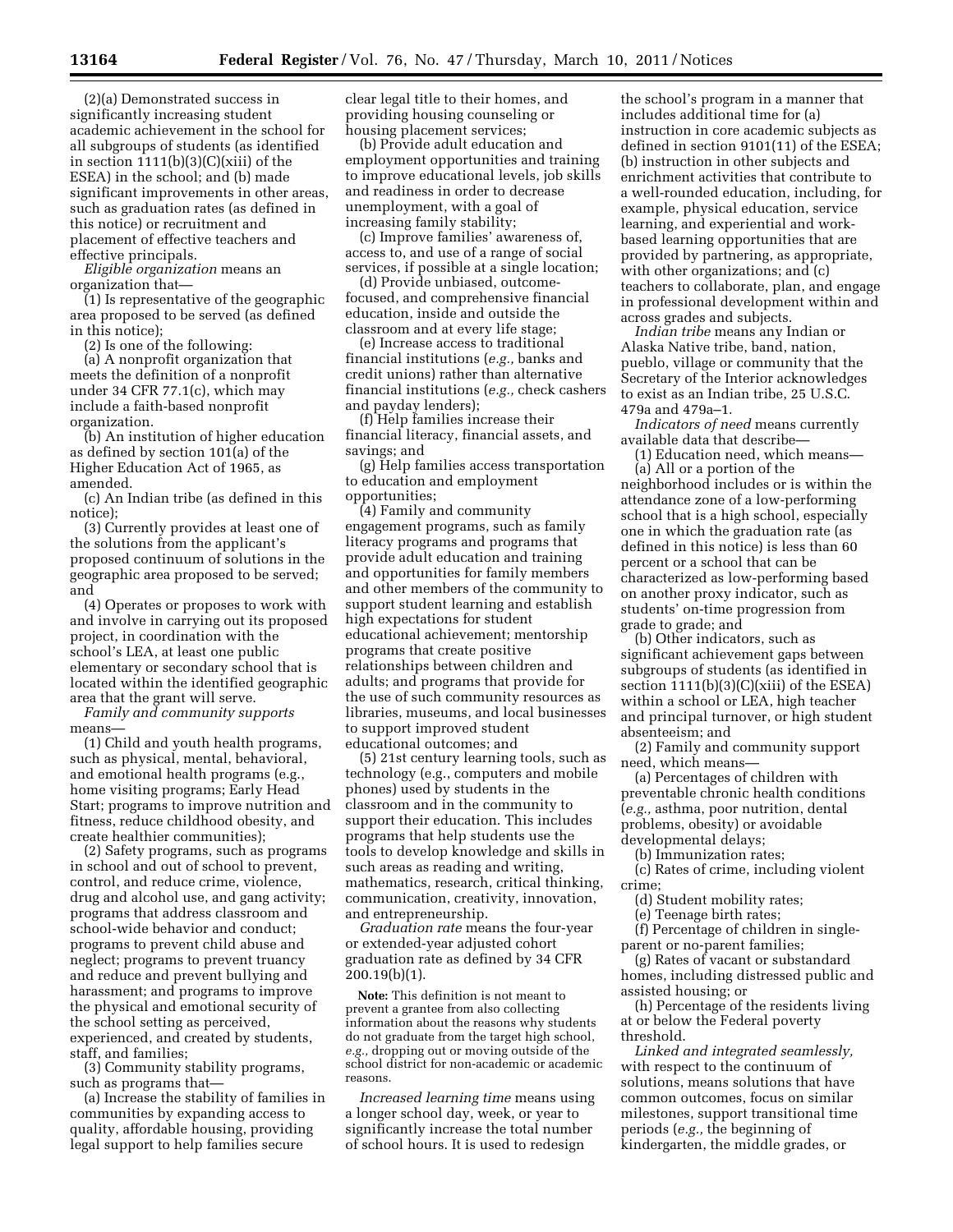(2)(a) Demonstrated success in significantly increasing student academic achievement in the school for all subgroups of students (as identified in section  $1111(b)(3)(C)(xiii)$  of the ESEA) in the school; and (b) made significant improvements in other areas, such as graduation rates (as defined in this notice) or recruitment and placement of effective teachers and effective principals.

*Eligible organization* means an organization that—

(1) Is representative of the geographic area proposed to be served (as defined in this notice);

(2) Is one of the following:

(a) A nonprofit organization that meets the definition of a nonprofit under 34 CFR 77.1(c), which may include a faith-based nonprofit organization.

(b) An institution of higher education as defined by section  $101(a)$  of the Higher Education Act of 1965, as amended.

(c) An Indian tribe (as defined in this notice);

(3) Currently provides at least one of the solutions from the applicant's proposed continuum of solutions in the geographic area proposed to be served; and

(4) Operates or proposes to work with and involve in carrying out its proposed project, in coordination with the school's LEA, at least one public elementary or secondary school that is located within the identified geographic area that the grant will serve.

*Family and community supports*  means—

(1) Child and youth health programs, such as physical, mental, behavioral, and emotional health programs (e.g., home visiting programs; Early Head Start; programs to improve nutrition and fitness, reduce childhood obesity, and create healthier communities);

(2) Safety programs, such as programs in school and out of school to prevent, control, and reduce crime, violence, drug and alcohol use, and gang activity; programs that address classroom and school-wide behavior and conduct; programs to prevent child abuse and neglect; programs to prevent truancy and reduce and prevent bullying and harassment; and programs to improve the physical and emotional security of the school setting as perceived, experienced, and created by students, staff, and families;

(3) Community stability programs, such as programs that—

(a) Increase the stability of families in communities by expanding access to quality, affordable housing, providing legal support to help families secure

clear legal title to their homes, and providing housing counseling or housing placement services;

(b) Provide adult education and employment opportunities and training to improve educational levels, job skills and readiness in order to decrease unemployment, with a goal of increasing family stability;

(c) Improve families' awareness of, access to, and use of a range of social services, if possible at a single location;

(d) Provide unbiased, outcomefocused, and comprehensive financial education, inside and outside the classroom and at every life stage;

(e) Increase access to traditional financial institutions (*e.g.,* banks and credit unions) rather than alternative financial institutions (*e.g.,* check cashers and payday lenders);

(f) Help families increase their financial literacy, financial assets, and savings; and

(g) Help families access transportation to education and employment opportunities;

(4) Family and community engagement programs, such as family literacy programs and programs that provide adult education and training and opportunities for family members and other members of the community to support student learning and establish high expectations for student educational achievement; mentorship programs that create positive relationships between children and adults; and programs that provide for the use of such community resources as libraries, museums, and local businesses to support improved student educational outcomes; and

(5) 21st century learning tools, such as technology (e.g., computers and mobile phones) used by students in the classroom and in the community to support their education. This includes programs that help students use the tools to develop knowledge and skills in such areas as reading and writing, mathematics, research, critical thinking, communication, creativity, innovation, and entrepreneurship.

*Graduation rate* means the four-year or extended-year adjusted cohort graduation rate as defined by 34 CFR 200.19(b)(1).

**Note:** This definition is not meant to prevent a grantee from also collecting information about the reasons why students do not graduate from the target high school, *e.g.,* dropping out or moving outside of the school district for non-academic or academic reasons.

*Increased learning time* means using a longer school day, week, or year to significantly increase the total number of school hours. It is used to redesign

the school's program in a manner that includes additional time for (a) instruction in core academic subjects as defined in section 9101(11) of the ESEA; (b) instruction in other subjects and enrichment activities that contribute to a well-rounded education, including, for example, physical education, service learning, and experiential and workbased learning opportunities that are provided by partnering, as appropriate, with other organizations; and (c) teachers to collaborate, plan, and engage in professional development within and across grades and subjects.

*Indian tribe* means any Indian or Alaska Native tribe, band, nation, pueblo, village or community that the Secretary of the Interior acknowledges to exist as an Indian tribe, 25 U.S.C. 479a and 479a–1.

*Indicators of need* means currently available data that describe—

(1) Education need, which means— (a) All or a portion of the

neighborhood includes or is within the attendance zone of a low-performing school that is a high school, especially one in which the graduation rate (as defined in this notice) is less than 60 percent or a school that can be characterized as low-performing based on another proxy indicator, such as students' on-time progression from grade to grade; and

(b) Other indicators, such as significant achievement gaps between subgroups of students (as identified in section  $1111(b)(3)(C)(xiii)$  of the ESEA) within a school or LEA, high teacher and principal turnover, or high student absenteeism; and

(2) Family and community support need, which means—

(a) Percentages of children with preventable chronic health conditions (*e.g.,* asthma, poor nutrition, dental problems, obesity) or avoidable developmental delays;

(b) Immunization rates;

(c) Rates of crime, including violent crime;

(d) Student mobility rates;

(e) Teenage birth rates;

(f) Percentage of children in singleparent or no-parent families;

(g) Rates of vacant or substandard homes, including distressed public and assisted housing; or

(h) Percentage of the residents living at or below the Federal poverty threshold.

*Linked and integrated seamlessly,*  with respect to the continuum of solutions, means solutions that have common outcomes, focus on similar milestones, support transitional time periods (*e.g.,* the beginning of kindergarten, the middle grades, or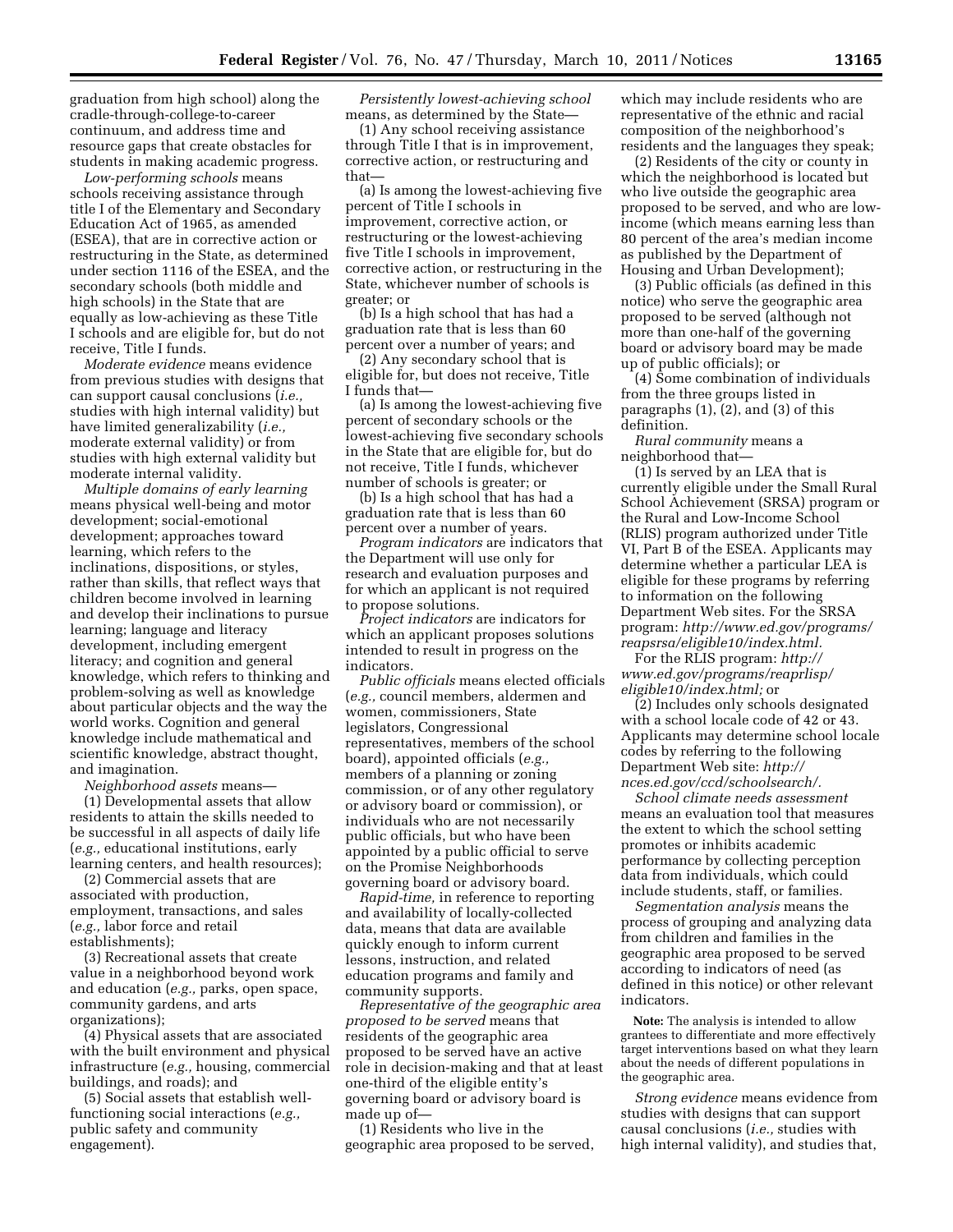graduation from high school) along the cradle-through-college-to-career continuum, and address time and resource gaps that create obstacles for students in making academic progress.

*Low-performing schools* means schools receiving assistance through title I of the Elementary and Secondary Education Act of 1965, as amended (ESEA), that are in corrective action or restructuring in the State, as determined under section 1116 of the ESEA, and the secondary schools (both middle and high schools) in the State that are equally as low-achieving as these Title I schools and are eligible for, but do not receive, Title I funds.

*Moderate evidence* means evidence from previous studies with designs that can support causal conclusions (*i.e.,*  studies with high internal validity) but have limited generalizability (*i.e.,*  moderate external validity) or from studies with high external validity but moderate internal validity.

*Multiple domains of early learning*  means physical well-being and motor development; social-emotional development; approaches toward learning, which refers to the inclinations, dispositions, or styles, rather than skills, that reflect ways that children become involved in learning and develop their inclinations to pursue learning; language and literacy development, including emergent literacy; and cognition and general knowledge, which refers to thinking and problem-solving as well as knowledge about particular objects and the way the world works. Cognition and general knowledge include mathematical and scientific knowledge, abstract thought, and imagination.

*Neighborhood assets* means—

(1) Developmental assets that allow residents to attain the skills needed to be successful in all aspects of daily life (*e.g.,* educational institutions, early learning centers, and health resources);

(2) Commercial assets that are associated with production, employment, transactions, and sales (*e.g.,* labor force and retail establishments);

(3) Recreational assets that create value in a neighborhood beyond work and education (*e.g.,* parks, open space, community gardens, and arts organizations);

(4) Physical assets that are associated with the built environment and physical infrastructure (*e.g.,* housing, commercial buildings, and roads); and

(5) Social assets that establish wellfunctioning social interactions (*e.g.,*  public safety and community engagement).

*Persistently lowest-achieving school*  means, as determined by the State—

(1) Any school receiving assistance through Title I that is in improvement, corrective action, or restructuring and that—

(a) Is among the lowest-achieving five percent of Title I schools in improvement, corrective action, or restructuring or the lowest-achieving five Title I schools in improvement, corrective action, or restructuring in the State, whichever number of schools is greater; or

(b) Is a high school that has had a graduation rate that is less than 60 percent over a number of years; and

(2) Any secondary school that is eligible for, but does not receive, Title I funds that—

(a) Is among the lowest-achieving five percent of secondary schools or the lowest-achieving five secondary schools in the State that are eligible for, but do not receive, Title I funds, whichever number of schools is greater; or

(b) Is a high school that has had a graduation rate that is less than 60 percent over a number of years.

*Program indicators* are indicators that the Department will use only for research and evaluation purposes and for which an applicant is not required to propose solutions.

*Project indicators* are indicators for which an applicant proposes solutions intended to result in progress on the indicators.

*Public officials* means elected officials (*e.g.,* council members, aldermen and women, commissioners, State legislators, Congressional representatives, members of the school board), appointed officials (*e.g.,*  members of a planning or zoning commission, or of any other regulatory or advisory board or commission), or individuals who are not necessarily public officials, but who have been appointed by a public official to serve on the Promise Neighborhoods governing board or advisory board.

*Rapid-time,* in reference to reporting and availability of locally-collected data, means that data are available quickly enough to inform current lessons, instruction, and related education programs and family and community supports.

*Representative of the geographic area proposed to be served* means that residents of the geographic area proposed to be served have an active role in decision-making and that at least one-third of the eligible entity's governing board or advisory board is made up of—

(1) Residents who live in the geographic area proposed to be served,

which may include residents who are representative of the ethnic and racial composition of the neighborhood's residents and the languages they speak;

(2) Residents of the city or county in which the neighborhood is located but who live outside the geographic area proposed to be served, and who are lowincome (which means earning less than 80 percent of the area's median income as published by the Department of Housing and Urban Development);

(3) Public officials (as defined in this notice) who serve the geographic area proposed to be served (although not more than one-half of the governing board or advisory board may be made up of public officials); or

(4) Some combination of individuals from the three groups listed in paragraphs (1), (2), and (3) of this definition.

*Rural community* means a neighborhood that—

(1) Is served by an LEA that is currently eligible under the Small Rural School Achievement (SRSA) program or the Rural and Low-Income School (RLIS) program authorized under Title VI, Part B of the ESEA. Applicants may determine whether a particular LEA is eligible for these programs by referring to information on the following Department Web sites. For the SRSA program: *[http://www.ed.gov/programs/](http://www.ed.gov/programs/reapsrsa/eligible10/index.html)  [reapsrsa/eligible10/index.html.](http://www.ed.gov/programs/reapsrsa/eligible10/index.html)* 

For the RLIS program: *[http://](http://www.ed.gov/programs/reaprlisp/eligible10/index.html) [www.ed.gov/programs/reaprlisp/](http://www.ed.gov/programs/reaprlisp/eligible10/index.html) [eligible10/index.html;](http://www.ed.gov/programs/reaprlisp/eligible10/index.html)* or

(2) Includes only schools designated with a school locale code of 42 or 43. Applicants may determine school locale codes by referring to the following Department Web site: *[http://](http://nces.ed.gov/ccd/schoolsearch/)  [nces.ed.gov/ccd/schoolsearch/.](http://nces.ed.gov/ccd/schoolsearch/)* 

*School climate needs assessment*  means an evaluation tool that measures the extent to which the school setting promotes or inhibits academic performance by collecting perception data from individuals, which could include students, staff, or families.

*Segmentation analysis* means the process of grouping and analyzing data from children and families in the geographic area proposed to be served according to indicators of need (as defined in this notice) or other relevant indicators.

**Note:** The analysis is intended to allow grantees to differentiate and more effectively target interventions based on what they learn about the needs of different populations in the geographic area.

*Strong evidence* means evidence from studies with designs that can support causal conclusions (*i.e.,* studies with high internal validity), and studies that,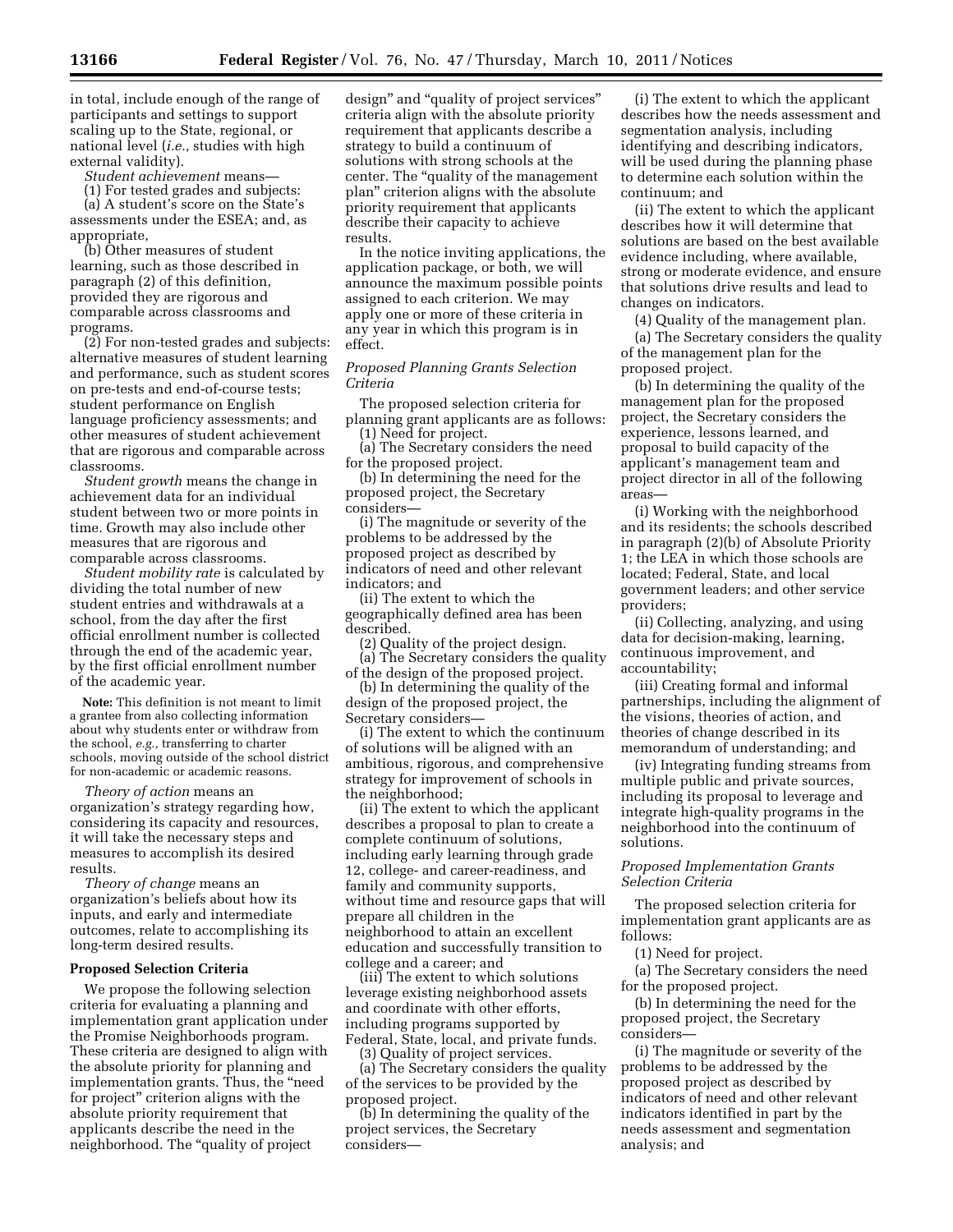in total, include enough of the range of participants and settings to support scaling up to the State, regional, or national level (*i.e.,* studies with high external validity).

*Student achievement* means—

(1) For tested grades and subjects:

(a) A student's score on the State's assessments under the ESEA; and, as appropriate,

(b) Other measures of student learning, such as those described in paragraph (2) of this definition, provided they are rigorous and comparable across classrooms and programs.

(2) For non-tested grades and subjects: alternative measures of student learning and performance, such as student scores on pre-tests and end-of-course tests; student performance on English language proficiency assessments; and other measures of student achievement that are rigorous and comparable across classrooms.

*Student growth* means the change in achievement data for an individual student between two or more points in time. Growth may also include other measures that are rigorous and comparable across classrooms.

*Student mobility rate* is calculated by dividing the total number of new student entries and withdrawals at a school, from the day after the first official enrollment number is collected through the end of the academic year, by the first official enrollment number of the academic year.

**Note:** This definition is not meant to limit a grantee from also collecting information about why students enter or withdraw from the school, *e.g.,* transferring to charter schools, moving outside of the school district for non-academic or academic reasons.

*Theory of action* means an organization's strategy regarding how, considering its capacity and resources, it will take the necessary steps and measures to accomplish its desired results.

*Theory of change* means an organization's beliefs about how its inputs, and early and intermediate outcomes, relate to accomplishing its long-term desired results.

### **Proposed Selection Criteria**

We propose the following selection criteria for evaluating a planning and implementation grant application under the Promise Neighborhoods program. These criteria are designed to align with the absolute priority for planning and implementation grants. Thus, the ''need for project'' criterion aligns with the absolute priority requirement that applicants describe the need in the neighborhood. The ''quality of project

design'' and ''quality of project services'' criteria align with the absolute priority requirement that applicants describe a strategy to build a continuum of solutions with strong schools at the center. The ''quality of the management plan'' criterion aligns with the absolute priority requirement that applicants describe their capacity to achieve results.

In the notice inviting applications, the application package, or both, we will announce the maximum possible points assigned to each criterion. We may apply one or more of these criteria in any year in which this program is in effect.

*Proposed Planning Grants Selection Criteria* 

The proposed selection criteria for planning grant applicants are as follows:

(1) Need for project. (a) The Secretary considers the need

for the proposed project. (b) In determining the need for the proposed project, the Secretary considers—

(i) The magnitude or severity of the problems to be addressed by the proposed project as described by indicators of need and other relevant indicators; and

(ii) The extent to which the geographically defined area has been described.

(2) Quality of the project design. (a) The Secretary considers the quality of the design of the proposed project.

(b) In determining the quality of the design of the proposed project, the

Secretary considers— (i) The extent to which the continuum

of solutions will be aligned with an ambitious, rigorous, and comprehensive strategy for improvement of schools in the neighborhood;

(ii) The extent to which the applicant describes a proposal to plan to create a complete continuum of solutions, including early learning through grade 12, college- and career-readiness, and family and community supports, without time and resource gaps that will prepare all children in the neighborhood to attain an excellent education and successfully transition to college and a career; and

(iii) The extent to which solutions leverage existing neighborhood assets and coordinate with other efforts, including programs supported by Federal, State, local, and private funds.

(3) Quality of project services.

(a) The Secretary considers the quality of the services to be provided by the proposed project.

(b) In determining the quality of the project services, the Secretary considers—

(i) The extent to which the applicant describes how the needs assessment and segmentation analysis, including identifying and describing indicators, will be used during the planning phase to determine each solution within the continuum; and

(ii) The extent to which the applicant describes how it will determine that solutions are based on the best available evidence including, where available, strong or moderate evidence, and ensure that solutions drive results and lead to changes on indicators.

(4) Quality of the management plan.

(a) The Secretary considers the quality of the management plan for the proposed project.

(b) In determining the quality of the management plan for the proposed project, the Secretary considers the experience, lessons learned, and proposal to build capacity of the applicant's management team and project director in all of the following areas—

(i) Working with the neighborhood and its residents; the schools described in paragraph (2)(b) of Absolute Priority 1; the LEA in which those schools are located; Federal, State, and local government leaders; and other service providers;

(ii) Collecting, analyzing, and using data for decision-making, learning, continuous improvement, and accountability;

(iii) Creating formal and informal partnerships, including the alignment of the visions, theories of action, and theories of change described in its memorandum of understanding; and

(iv) Integrating funding streams from multiple public and private sources, including its proposal to leverage and integrate high-quality programs in the neighborhood into the continuum of solutions.

## *Proposed Implementation Grants Selection Criteria*

The proposed selection criteria for implementation grant applicants are as follows:

(1) Need for project.

(a) The Secretary considers the need for the proposed project.

(b) In determining the need for the proposed project, the Secretary considers—

(i) The magnitude or severity of the problems to be addressed by the proposed project as described by indicators of need and other relevant indicators identified in part by the needs assessment and segmentation analysis; and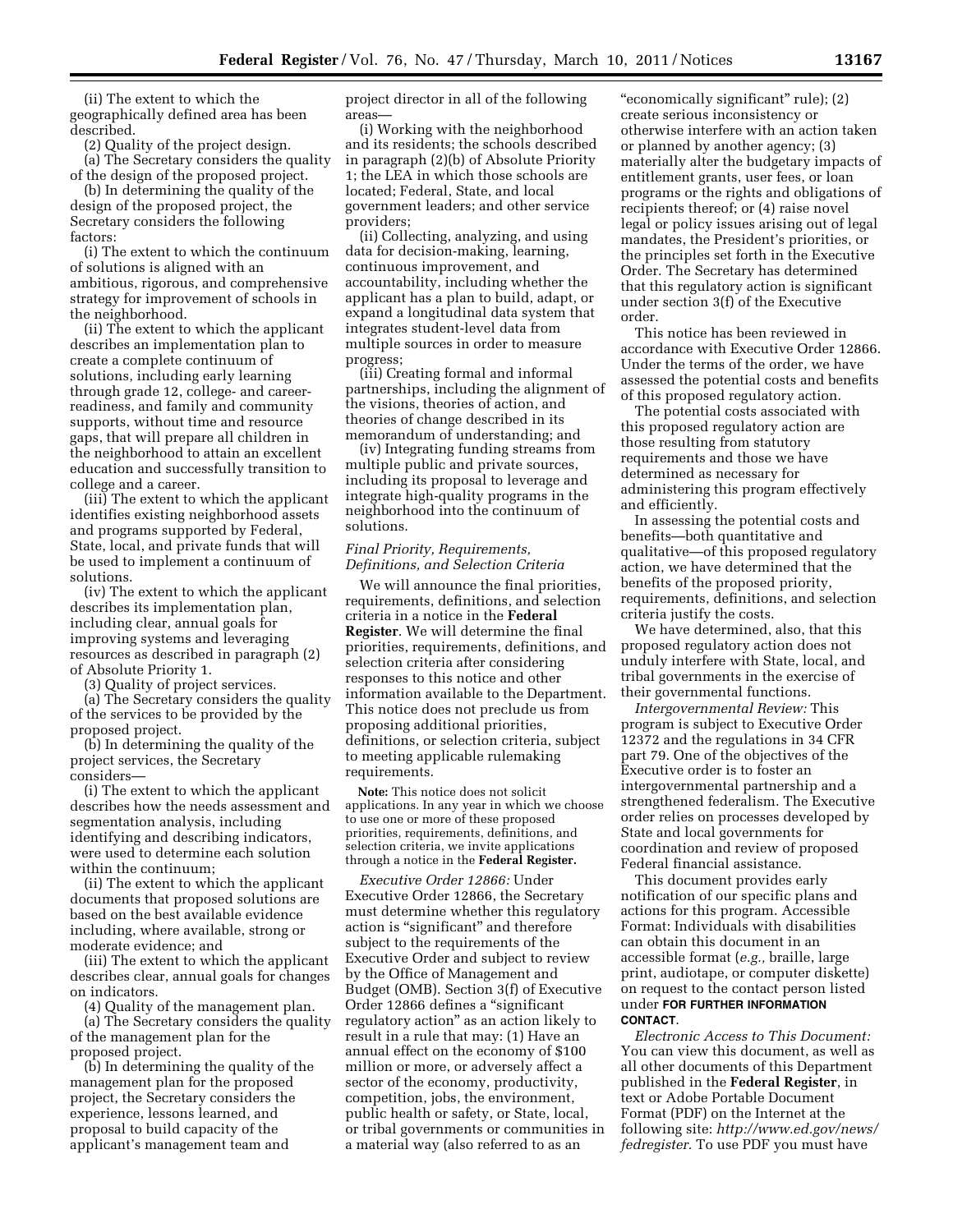(ii) The extent to which the geographically defined area has been described.

(2) Quality of the project design.

(a) The Secretary considers the quality of the design of the proposed project.

(b) In determining the quality of the design of the proposed project, the Secretary considers the following factors:

(i) The extent to which the continuum of solutions is aligned with an ambitious, rigorous, and comprehensive strategy for improvement of schools in the neighborhood.

(ii) The extent to which the applicant describes an implementation plan to create a complete continuum of solutions, including early learning through grade 12, college- and careerreadiness, and family and community supports, without time and resource gaps, that will prepare all children in the neighborhood to attain an excellent education and successfully transition to college and a career.

(iii) The extent to which the applicant identifies existing neighborhood assets and programs supported by Federal, State, local, and private funds that will be used to implement a continuum of solutions.

(iv) The extent to which the applicant describes its implementation plan, including clear, annual goals for improving systems and leveraging resources as described in paragraph (2) of Absolute Priority 1.

(3) Quality of project services.

(a) The Secretary considers the quality of the services to be provided by the proposed project.

(b) In determining the quality of the project services, the Secretary considers—

(i) The extent to which the applicant describes how the needs assessment and segmentation analysis, including identifying and describing indicators, were used to determine each solution within the continuum;

(ii) The extent to which the applicant documents that proposed solutions are based on the best available evidence including, where available, strong or moderate evidence; and

(iii) The extent to which the applicant describes clear, annual goals for changes on indicators.

(4) Quality of the management plan. (a) The Secretary considers the quality of the management plan for the proposed project.

(b) In determining the quality of the management plan for the proposed project, the Secretary considers the experience, lessons learned, and proposal to build capacity of the applicant's management team and

project director in all of the following areas—

(i) Working with the neighborhood and its residents; the schools described in paragraph (2)(b) of Absolute Priority 1; the LEA in which those schools are located; Federal, State, and local government leaders; and other service providers;

(ii) Collecting, analyzing, and using data for decision-making, learning, continuous improvement, and accountability, including whether the applicant has a plan to build, adapt, or expand a longitudinal data system that integrates student-level data from multiple sources in order to measure progress;

(iii) Creating formal and informal partnerships, including the alignment of the visions, theories of action, and theories of change described in its memorandum of understanding; and

(iv) Integrating funding streams from multiple public and private sources, including its proposal to leverage and integrate high-quality programs in the neighborhood into the continuum of solutions.

# *Final Priority, Requirements, Definitions, and Selection Criteria*

We will announce the final priorities, requirements, definitions, and selection criteria in a notice in the **Federal Register**. We will determine the final priorities, requirements, definitions, and selection criteria after considering responses to this notice and other information available to the Department. This notice does not preclude us from proposing additional priorities, definitions, or selection criteria, subject to meeting applicable rulemaking requirements.

**Note:** This notice does not solicit applications. In any year in which we choose to use one or more of these proposed priorities, requirements, definitions, and selection criteria, we invite applications through a notice in the **Federal Register.** 

*Executive Order 12866:* Under Executive Order 12866, the Secretary must determine whether this regulatory action is "significant" and therefore subject to the requirements of the Executive Order and subject to review by the Office of Management and Budget (OMB). Section 3(f) of Executive Order 12866 defines a ''significant regulatory action'' as an action likely to result in a rule that may: (1) Have an annual effect on the economy of \$100 million or more, or adversely affect a sector of the economy, productivity, competition, jobs, the environment, public health or safety, or State, local, or tribal governments or communities in a material way (also referred to as an

''economically significant'' rule); (2) create serious inconsistency or otherwise interfere with an action taken or planned by another agency; (3) materially alter the budgetary impacts of entitlement grants, user fees, or loan programs or the rights and obligations of recipients thereof; or (4) raise novel legal or policy issues arising out of legal mandates, the President's priorities, or the principles set forth in the Executive Order. The Secretary has determined that this regulatory action is significant under section 3(f) of the Executive order.

This notice has been reviewed in accordance with Executive Order 12866. Under the terms of the order, we have assessed the potential costs and benefits of this proposed regulatory action.

The potential costs associated with this proposed regulatory action are those resulting from statutory requirements and those we have determined as necessary for administering this program effectively and efficiently.

In assessing the potential costs and benefits—both quantitative and qualitative—of this proposed regulatory action, we have determined that the benefits of the proposed priority, requirements, definitions, and selection criteria justify the costs.

We have determined, also, that this proposed regulatory action does not unduly interfere with State, local, and tribal governments in the exercise of their governmental functions.

*Intergovernmental Review:* This program is subject to Executive Order 12372 and the regulations in 34 CFR part 79. One of the objectives of the Executive order is to foster an intergovernmental partnership and a strengthened federalism. The Executive order relies on processes developed by State and local governments for coordination and review of proposed Federal financial assistance.

This document provides early notification of our specific plans and actions for this program. Accessible Format: Individuals with disabilities can obtain this document in an accessible format (*e.g.,* braille, large print, audiotape, or computer diskette) on request to the contact person listed under **FOR FURTHER INFORMATION CONTACT**.

*Electronic Access to This Document:*  You can view this document, as well as all other documents of this Department published in the **Federal Register**, in text or Adobe Portable Document Format (PDF) on the Internet at the following site: *[http://www.ed.gov/news/](http://www.ed.gov/news/fedregister) [fedregister.](http://www.ed.gov/news/fedregister)* To use PDF you must have